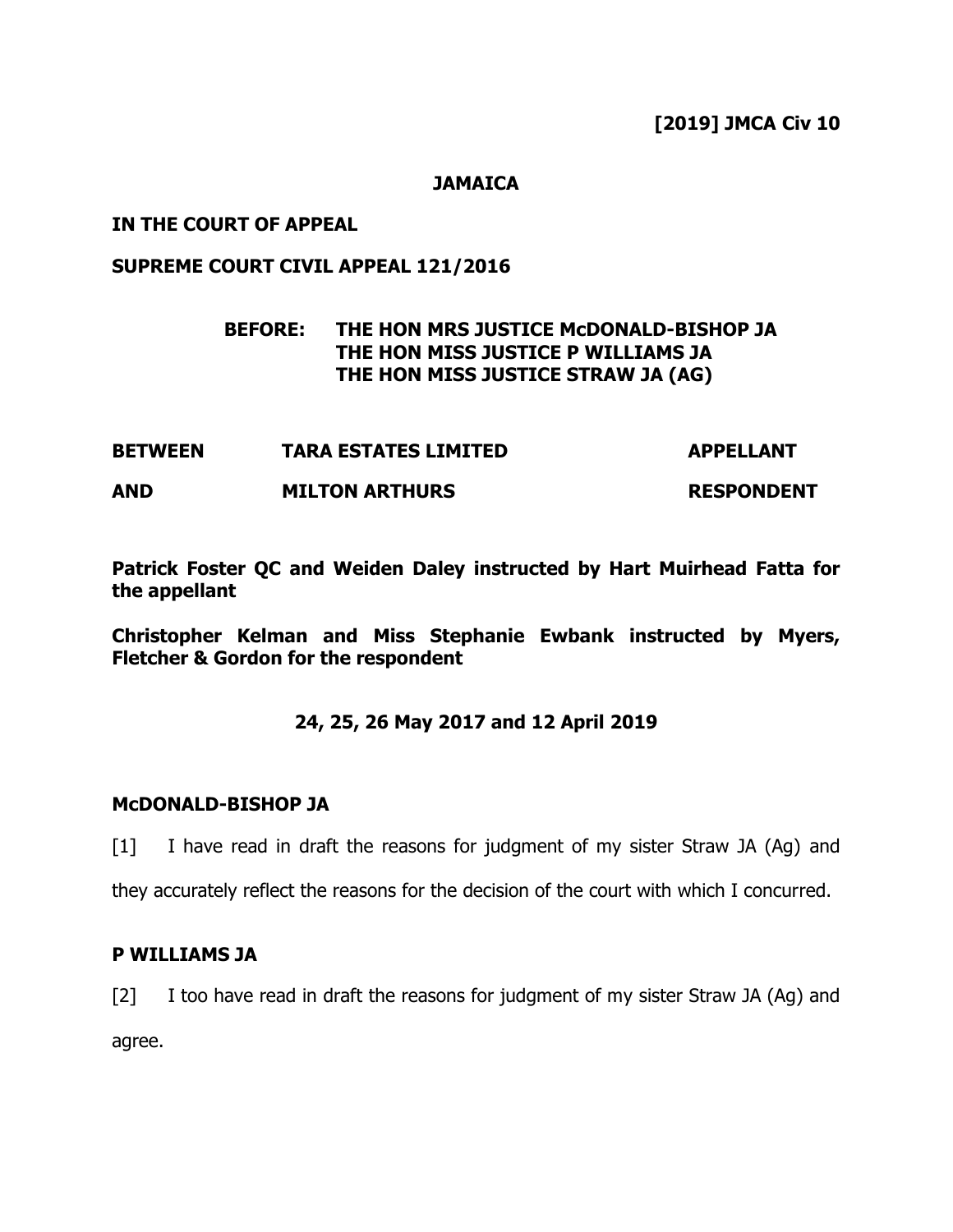**[2019] JMCA Civ 10**

### **JAMAICA**

### **IN THE COURT OF APPEAL**

## **SUPREME COURT CIVIL APPEAL 121/2016**

# **BEFORE: THE HON MRS JUSTICE McDONALD-BISHOP JA THE HON MISS JUSTICE P WILLIAMS JA THE HON MISS JUSTICE STRAW JA (AG)**

| <b>BETWEEN</b> | <b>TARA ESTATES LIMITED</b> | <b>APPELLANT</b>  |
|----------------|-----------------------------|-------------------|
| <b>AND</b>     | <b>MILTON ARTHURS</b>       | <b>RESPONDENT</b> |

**Patrick Foster QC and Weiden Daley instructed by Hart Muirhead Fatta for the appellant**

**Christopher Kelman and Miss Stephanie Ewbank instructed by Myers, Fletcher & Gordon for the respondent**

## **24, 25, 26 May 2017 and 12 April 2019**

#### **McDONALD-BISHOP JA**

[1] I have read in draft the reasons for judgment of my sister Straw JA (Ag) and

they accurately reflect the reasons for the decision of the court with which I concurred.

#### **P WILLIAMS JA**

[2] I too have read in draft the reasons for judgment of my sister Straw JA (Ag) and agree.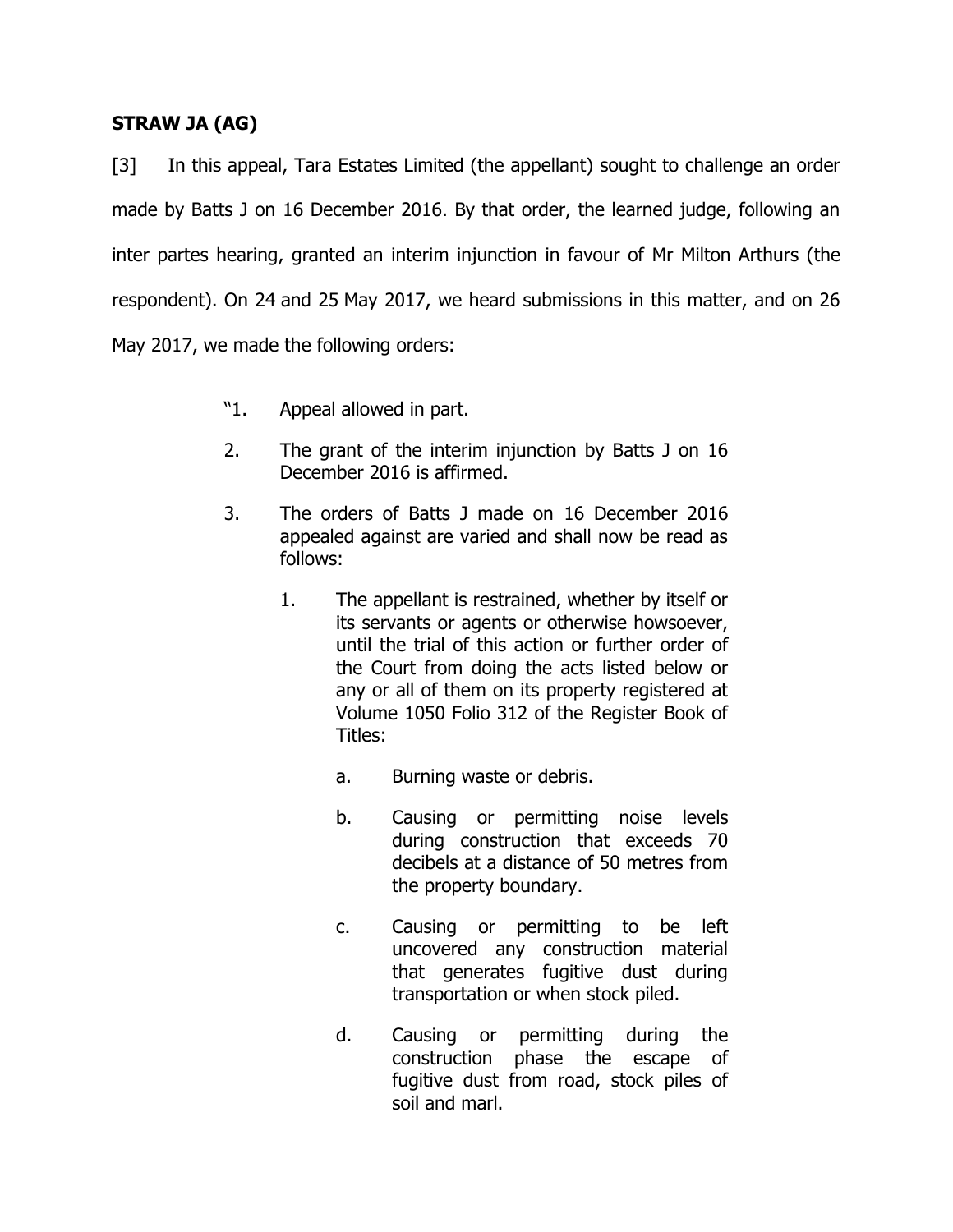# **STRAW JA (AG)**

[3] In this appeal, Tara Estates Limited (the appellant) sought to challenge an order made by Batts J on 16 December 2016. By that order, the learned judge, following an inter partes hearing, granted an interim injunction in favour of Mr Milton Arthurs (the respondent). On 24 and 25 May 2017, we heard submissions in this matter, and on 26 May 2017, we made the following orders:

- "1. Appeal allowed in part.
- 2. The grant of the interim injunction by Batts J on 16 December 2016 is affirmed.
- 3. The orders of Batts J made on 16 December 2016 appealed against are varied and shall now be read as follows:
	- 1. The appellant is restrained, whether by itself or its servants or agents or otherwise howsoever, until the trial of this action or further order of the Court from doing the acts listed below or any or all of them on its property registered at Volume 1050 Folio 312 of the Register Book of Titles:
		- a. Burning waste or debris.
		- b. Causing or permitting noise levels during construction that exceeds 70 decibels at a distance of 50 metres from the property boundary.
		- c. Causing or permitting to be left uncovered any construction material that generates fugitive dust during transportation or when stock piled.
		- d. Causing or permitting during the construction phase the escape of fugitive dust from road, stock piles of soil and marl.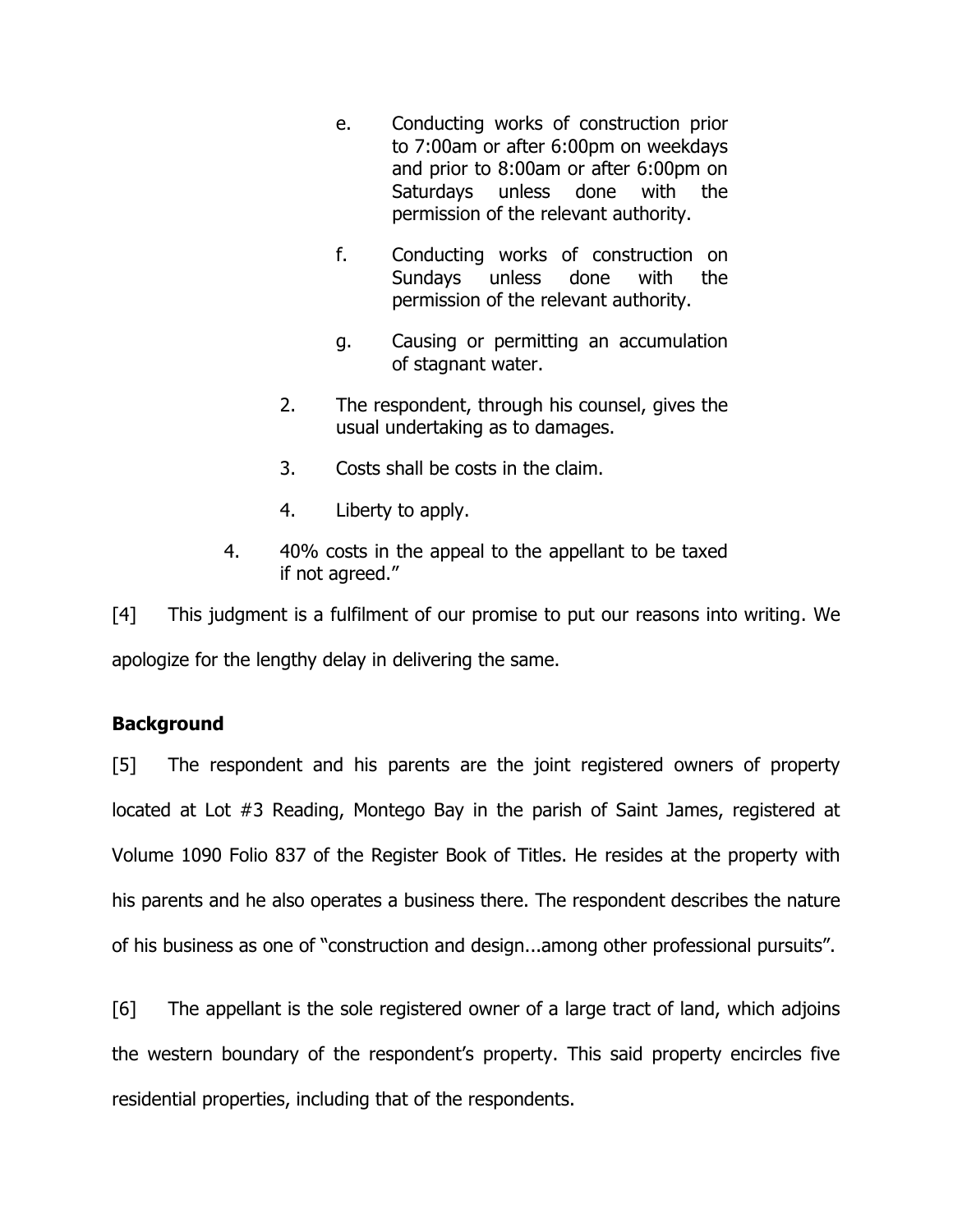- e. Conducting works of construction prior to 7:00am or after 6:00pm on weekdays and prior to 8:00am or after 6:00pm on Saturdays unless done with the permission of the relevant authority.
- f. Conducting works of construction on Sundays unless done with the permission of the relevant authority.
- g. Causing or permitting an accumulation of stagnant water.
- 2. The respondent, through his counsel, gives the usual undertaking as to damages.
- 3. Costs shall be costs in the claim.
- 4. Liberty to apply.
- 4. 40% costs in the appeal to the appellant to be taxed if not agreed."

[4] This judgment is a fulfilment of our promise to put our reasons into writing. We apologize for the lengthy delay in delivering the same.

# **Background**

[5] The respondent and his parents are the joint registered owners of property located at Lot #3 Reading, Montego Bay in the parish of Saint James, registered at Volume 1090 Folio 837 of the Register Book of Titles. He resides at the property with his parents and he also operates a business there. The respondent describes the nature of his business as one of "construction and design...among other professional pursuits".

[6] The appellant is the sole registered owner of a large tract of land, which adjoins the western boundary of the respondent's property. This said property encircles five residential properties, including that of the respondents.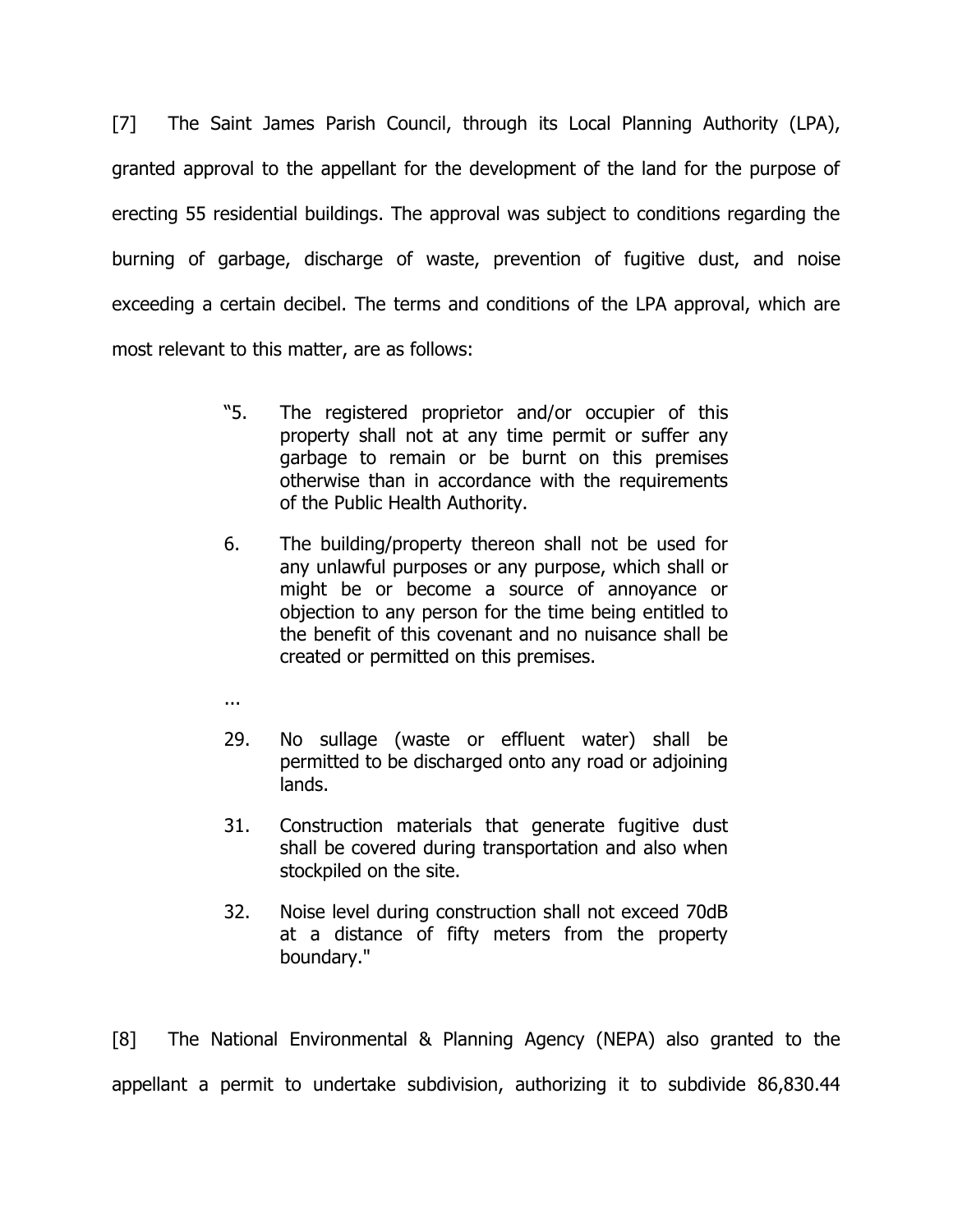[7] The Saint James Parish Council, through its Local Planning Authority (LPA), granted approval to the appellant for the development of the land for the purpose of erecting 55 residential buildings. The approval was subject to conditions regarding the burning of garbage, discharge of waste, prevention of fugitive dust, and noise exceeding a certain decibel. The terms and conditions of the LPA approval, which are most relevant to this matter, are as follows:

- "5. The registered proprietor and/or occupier of this property shall not at any time permit or suffer any garbage to remain or be burnt on this premises otherwise than in accordance with the requirements of the Public Health Authority.
- 6. The building/property thereon shall not be used for any unlawful purposes or any purpose, which shall or might be or become a source of annoyance or objection to any person for the time being entitled to the benefit of this covenant and no nuisance shall be created or permitted on this premises.
- ...
- 29. No sullage (waste or effluent water) shall be permitted to be discharged onto any road or adjoining lands.
- 31. Construction materials that generate fugitive dust shall be covered during transportation and also when stockpiled on the site.
- 32. Noise level during construction shall not exceed 70dB at a distance of fifty meters from the property boundary."

[8] The National Environmental & Planning Agency (NEPA) also granted to the appellant a permit to undertake subdivision, authorizing it to subdivide 86,830.44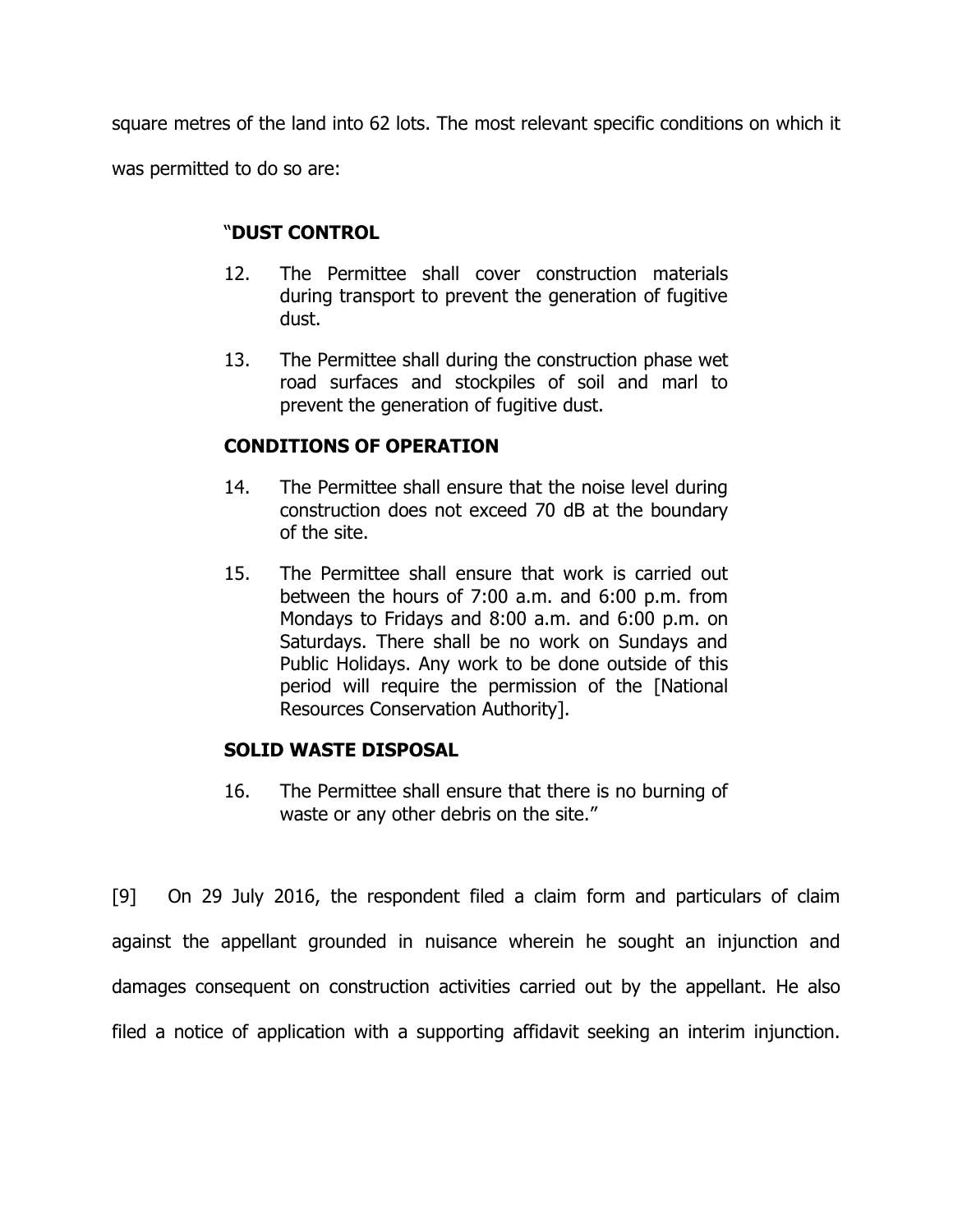square metres of the land into 62 lots. The most relevant specific conditions on which it was permitted to do so are:

## "**DUST CONTROL**

- 12. The Permittee shall cover construction materials during transport to prevent the generation of fugitive dust.
- 13. The Permittee shall during the construction phase wet road surfaces and stockpiles of soil and marl to prevent the generation of fugitive dust.

# **CONDITIONS OF OPERATION**

- 14. The Permittee shall ensure that the noise level during construction does not exceed 70 dB at the boundary of the site.
- 15. The Permittee shall ensure that work is carried out between the hours of 7:00 a.m. and 6:00 p.m. from Mondays to Fridays and 8:00 a.m. and 6:00 p.m. on Saturdays. There shall be no work on Sundays and Public Holidays. Any work to be done outside of this period will require the permission of the [National Resources Conservation Authority].

# **SOLID WASTE DISPOSAL**

16. The Permittee shall ensure that there is no burning of waste or any other debris on the site."

[9] On 29 July 2016, the respondent filed a claim form and particulars of claim against the appellant grounded in nuisance wherein he sought an injunction and damages consequent on construction activities carried out by the appellant. He also filed a notice of application with a supporting affidavit seeking an interim injunction.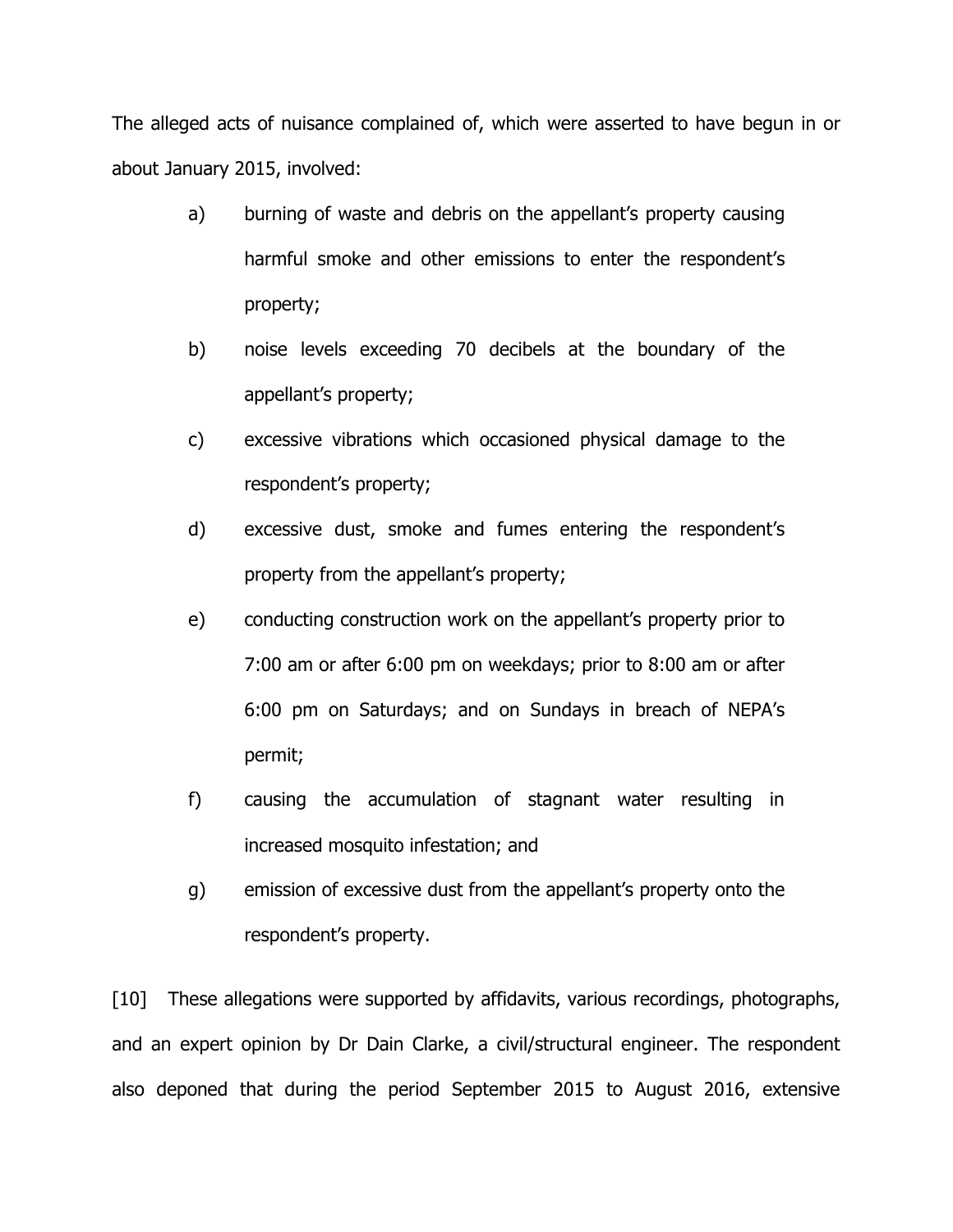The alleged acts of nuisance complained of, which were asserted to have begun in or about January 2015, involved:

- a) burning of waste and debris on the appellant's property causing harmful smoke and other emissions to enter the respondent's property;
- b) noise levels exceeding 70 decibels at the boundary of the appellant's property;
- c) excessive vibrations which occasioned physical damage to the respondent's property;
- d) excessive dust, smoke and fumes entering the respondent's property from the appellant's property;
- e) conducting construction work on the appellant's property prior to 7:00 am or after 6:00 pm on weekdays; prior to 8:00 am or after 6:00 pm on Saturdays; and on Sundays in breach of NEPA's permit;
- f) causing the accumulation of stagnant water resulting in increased mosquito infestation; and
- g) emission of excessive dust from the appellant's property onto the respondent's property.

[10] These allegations were supported by affidavits, various recordings, photographs, and an expert opinion by Dr Dain Clarke, a civil/structural engineer. The respondent also deponed that during the period September 2015 to August 2016, extensive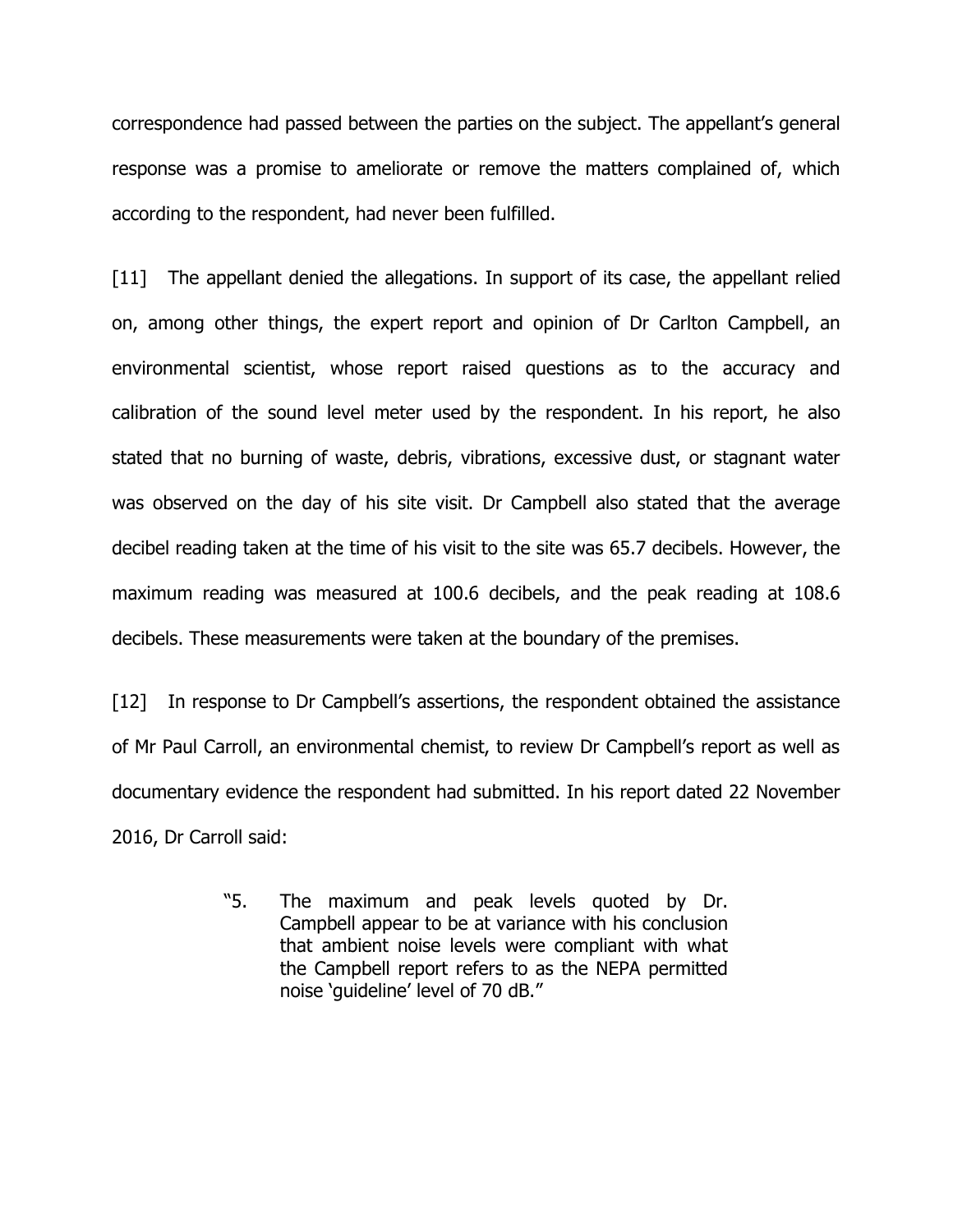correspondence had passed between the parties on the subject. The appellant's general response was a promise to ameliorate or remove the matters complained of, which according to the respondent, had never been fulfilled.

[11] The appellant denied the allegations. In support of its case, the appellant relied on, among other things, the expert report and opinion of Dr Carlton Campbell, an environmental scientist, whose report raised questions as to the accuracy and calibration of the sound level meter used by the respondent. In his report, he also stated that no burning of waste, debris, vibrations, excessive dust, or stagnant water was observed on the day of his site visit. Dr Campbell also stated that the average decibel reading taken at the time of his visit to the site was 65.7 decibels. However, the maximum reading was measured at 100.6 decibels, and the peak reading at 108.6 decibels. These measurements were taken at the boundary of the premises.

[12] In response to Dr Campbell's assertions, the respondent obtained the assistance of Mr Paul Carroll, an environmental chemist, to review Dr Campbell's report as well as documentary evidence the respondent had submitted. In his report dated 22 November 2016, Dr Carroll said:

> "5. The maximum and peak levels quoted by Dr. Campbell appear to be at variance with his conclusion that ambient noise levels were compliant with what the Campbell report refers to as the NEPA permitted noise 'guideline' level of 70 dB."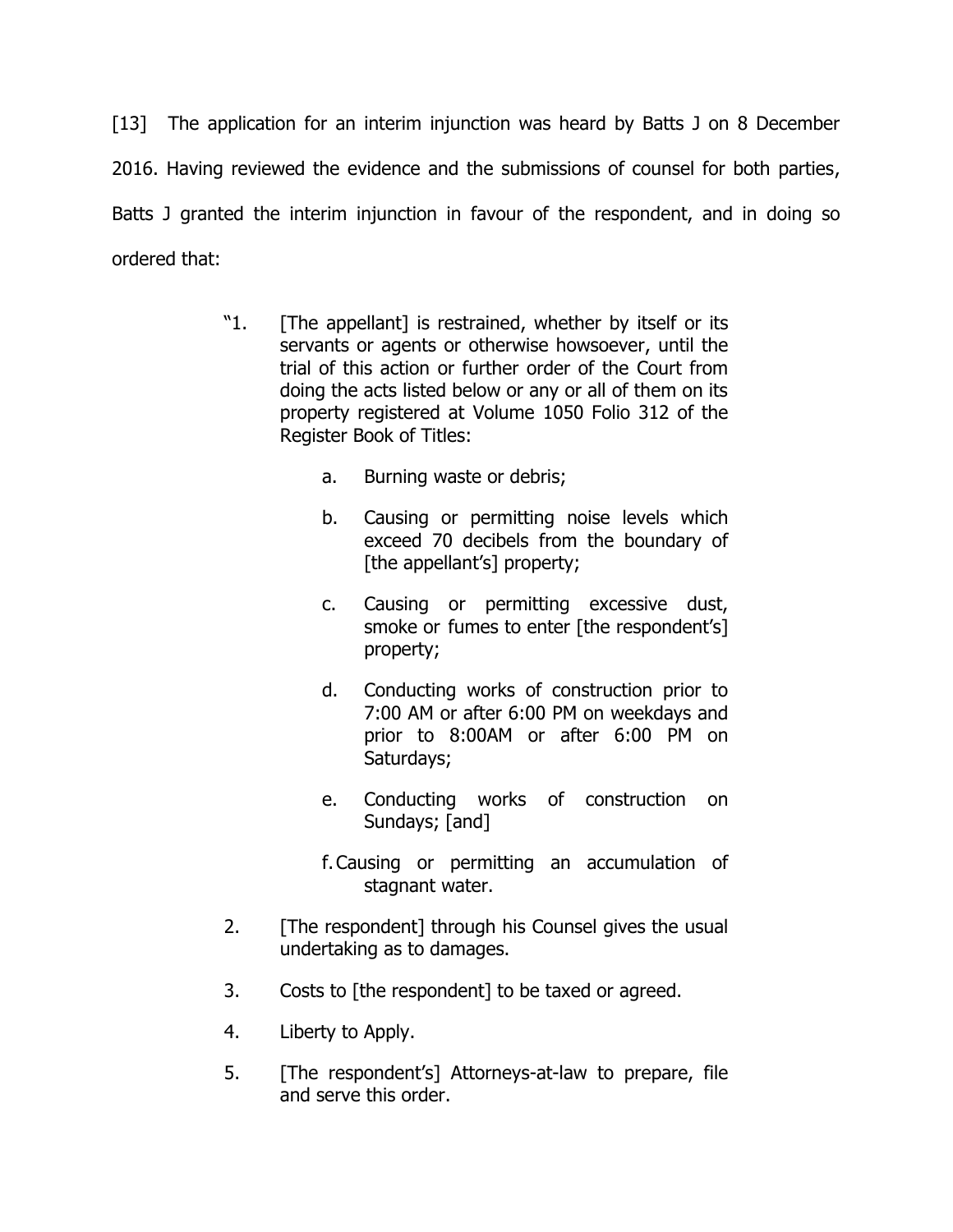[13] The application for an interim injunction was heard by Batts J on 8 December 2016. Having reviewed the evidence and the submissions of counsel for both parties, Batts J granted the interim injunction in favour of the respondent, and in doing so ordered that:

- "1. [The appellant] is restrained, whether by itself or its servants or agents or otherwise howsoever, until the trial of this action or further order of the Court from doing the acts listed below or any or all of them on its property registered at Volume 1050 Folio 312 of the Register Book of Titles:
	- a. Burning waste or debris;
	- b. Causing or permitting noise levels which exceed 70 decibels from the boundary of [the appellant's] property;
	- c. Causing or permitting excessive dust, smoke or fumes to enter [the respondent's] property;
	- d. Conducting works of construction prior to 7:00 AM or after 6:00 PM on weekdays and prior to 8:00AM or after 6:00 PM on Saturdays;
	- e. Conducting works of construction on Sundays; [and]
	- f.Causing or permitting an accumulation of stagnant water.
- 2. [The respondent] through his Counsel gives the usual undertaking as to damages.
- 3. Costs to [the respondent] to be taxed or agreed.
- 4. Liberty to Apply.
- 5. [The respondent's] Attorneys-at-law to prepare, file and serve this order.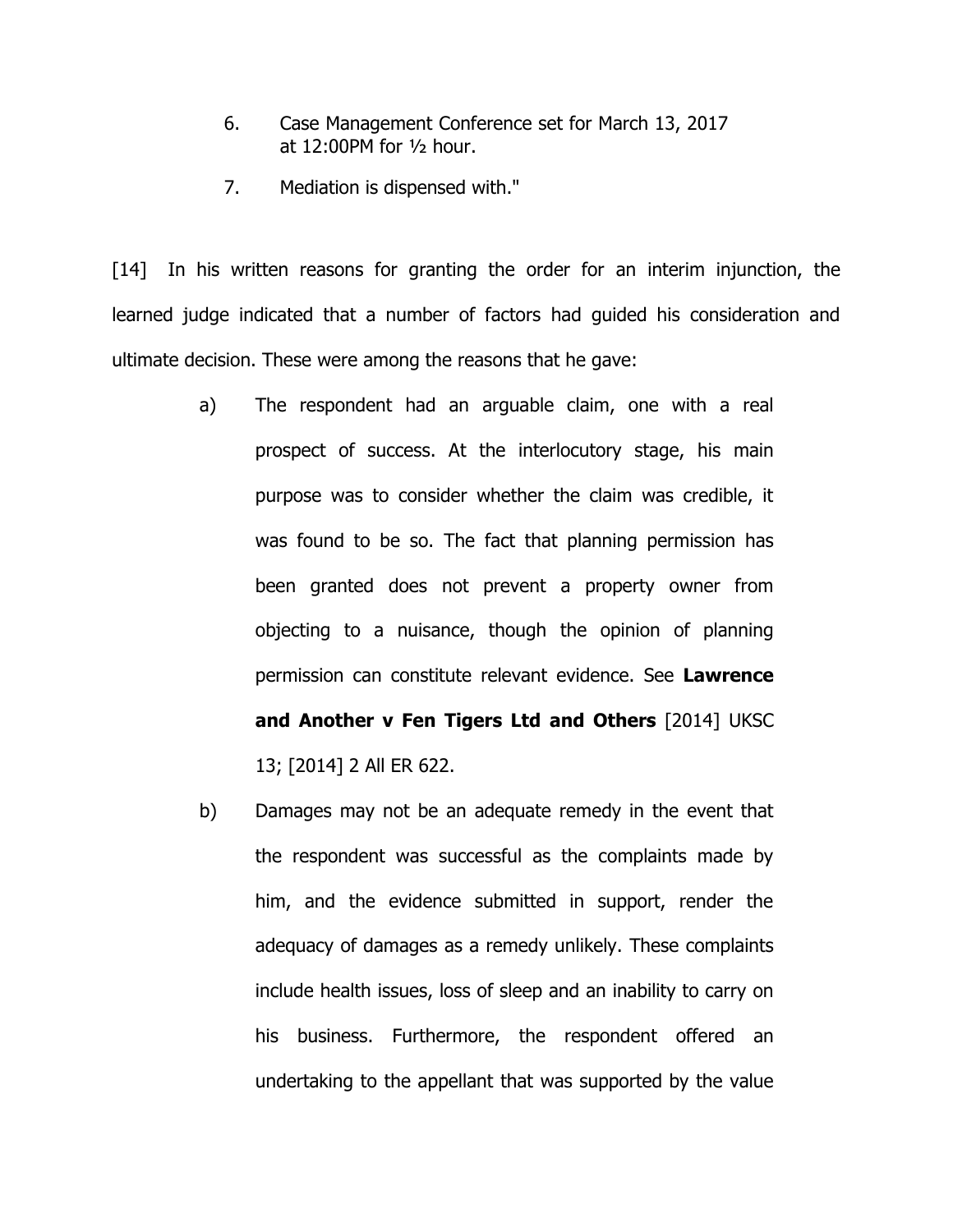- 6. Case Management Conference set for March 13, 2017 at 12:00PM for ½ hour.
- 7. Mediation is dispensed with."

[14] In his written reasons for granting the order for an interim injunction, the learned judge indicated that a number of factors had guided his consideration and ultimate decision. These were among the reasons that he gave:

- a) The respondent had an arguable claim, one with a real prospect of success. At the interlocutory stage, his main purpose was to consider whether the claim was credible, it was found to be so. The fact that planning permission has been granted does not prevent a property owner from objecting to a nuisance, though the opinion of planning permission can constitute relevant evidence. See **Lawrence and Another v Fen Tigers Ltd and Others** [2014] UKSC 13; [2014] 2 All ER 622.
- b) Damages may not be an adequate remedy in the event that the respondent was successful as the complaints made by him, and the evidence submitted in support, render the adequacy of damages as a remedy unlikely. These complaints include health issues, loss of sleep and an inability to carry on his business. Furthermore, the respondent offered an undertaking to the appellant that was supported by the value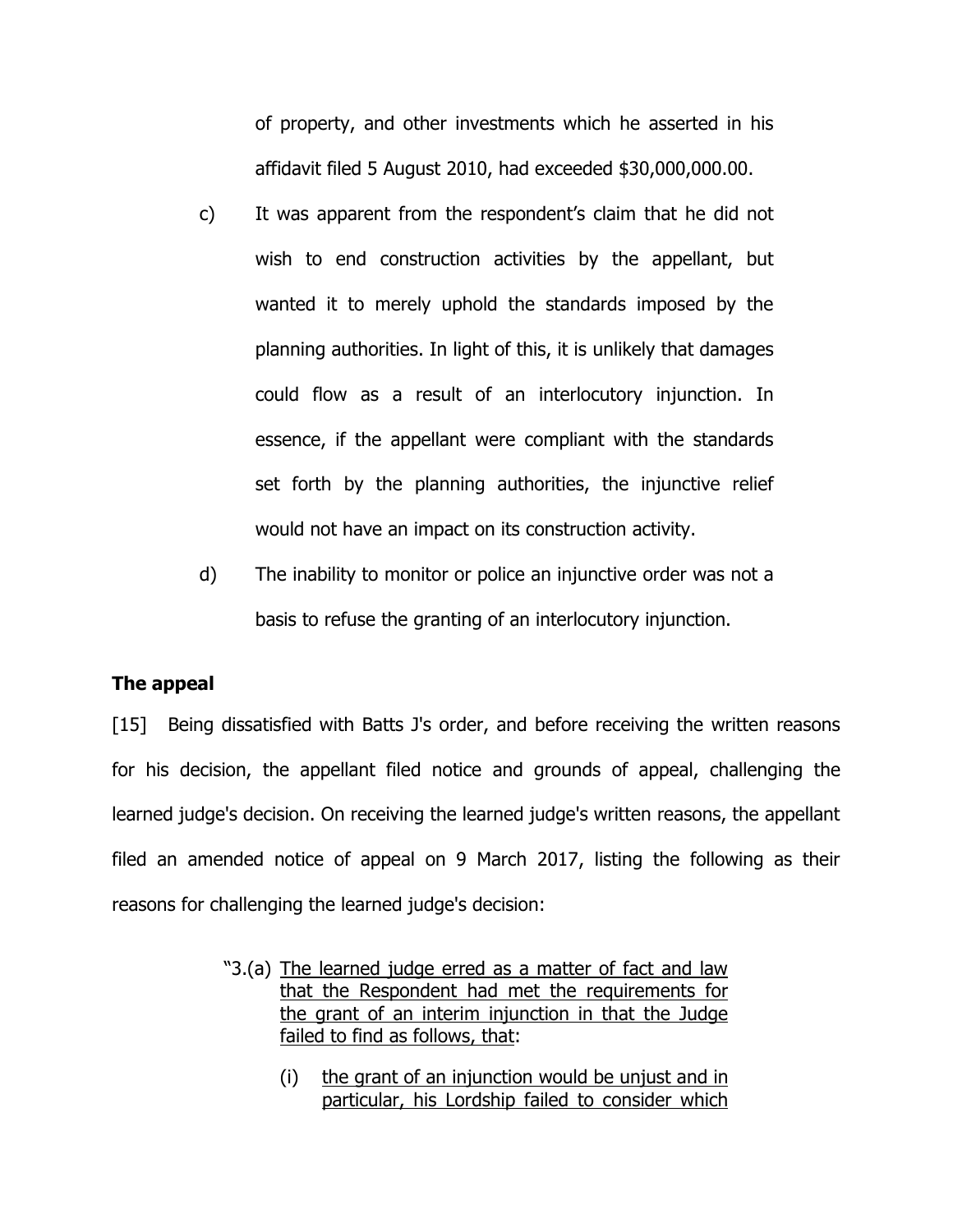of property, and other investments which he asserted in his affidavit filed 5 August 2010, had exceeded \$30,000,000.00.

- c) It was apparent from the respondent's claim that he did not wish to end construction activities by the appellant, but wanted it to merely uphold the standards imposed by the planning authorities. In light of this, it is unlikely that damages could flow as a result of an interlocutory injunction. In essence, if the appellant were compliant with the standards set forth by the planning authorities, the injunctive relief would not have an impact on its construction activity.
- d) The inability to monitor or police an injunctive order was not a basis to refuse the granting of an interlocutory injunction.

## **The appeal**

[15] Being dissatisfied with Batts J's order, and before receiving the written reasons for his decision, the appellant filed notice and grounds of appeal, challenging the learned judge's decision. On receiving the learned judge's written reasons, the appellant filed an amended notice of appeal on 9 March 2017, listing the following as their reasons for challenging the learned judge's decision:

- "3.(a) The learned judge erred as a matter of fact and law that the Respondent had met the requirements for the grant of an interim injunction in that the Judge failed to find as follows, that:
	- (i) the grant of an injunction would be unjust and in particular, his Lordship failed to consider which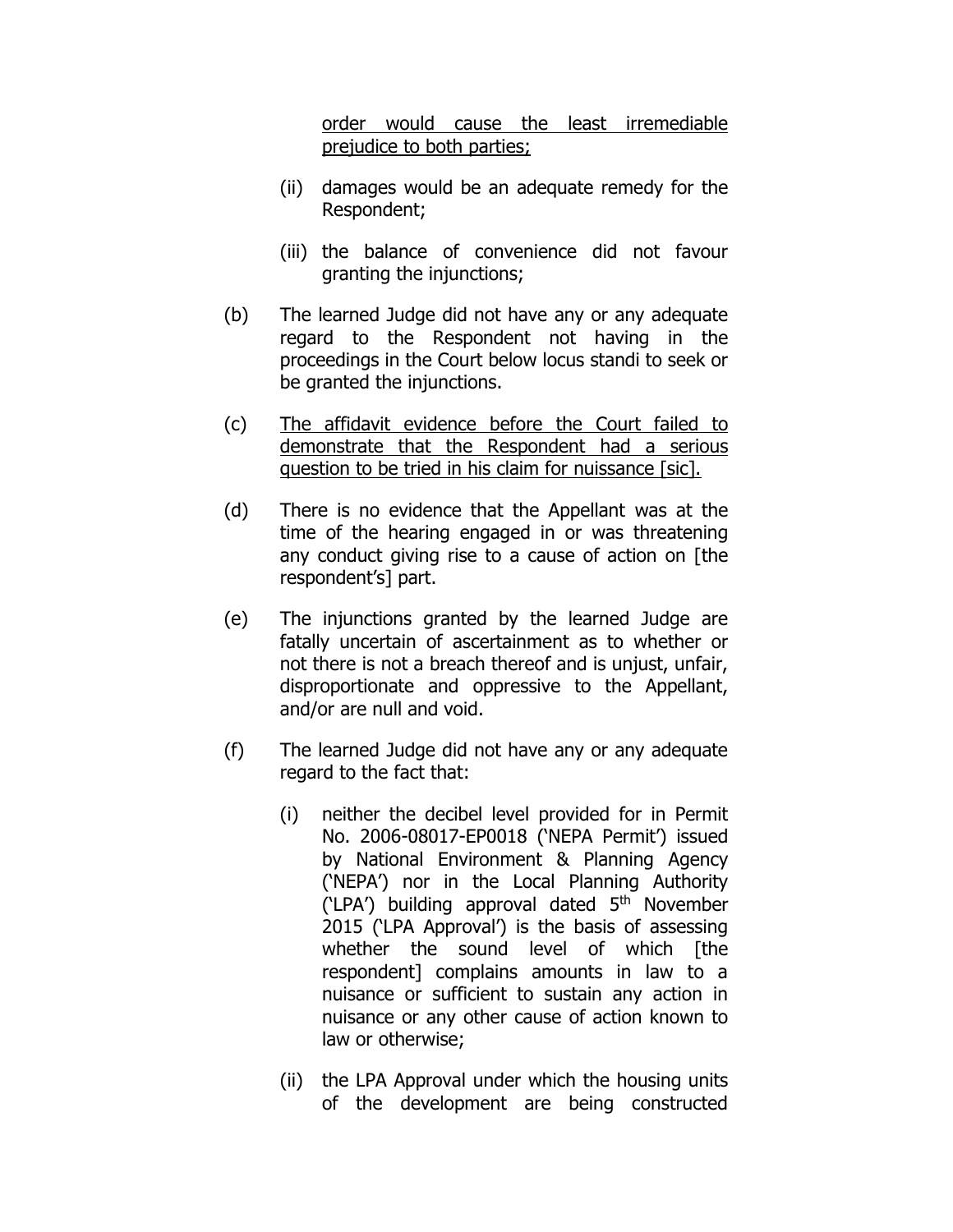order would cause the least irremediable prejudice to both parties;

- (ii) damages would be an adequate remedy for the Respondent;
- (iii) the balance of convenience did not favour granting the injunctions;
- (b) The learned Judge did not have any or any adequate regard to the Respondent not having in the proceedings in the Court below locus standi to seek or be granted the injunctions.
- (c) The affidavit evidence before the Court failed to demonstrate that the Respondent had a serious question to be tried in his claim for nuissance [sic].
- (d) There is no evidence that the Appellant was at the time of the hearing engaged in or was threatening any conduct giving rise to a cause of action on [the respondent's] part.
- (e) The injunctions granted by the learned Judge are fatally uncertain of ascertainment as to whether or not there is not a breach thereof and is unjust, unfair, disproportionate and oppressive to the Appellant, and/or are null and void.
- (f) The learned Judge did not have any or any adequate regard to the fact that:
	- (i) neither the decibel level provided for in Permit No. 2006-08017-EP0018 ('NEPA Permit') issued by National Environment & Planning Agency ('NEPA') nor in the Local Planning Authority  $(LPA')$  building approval dated  $5<sup>th</sup>$  November 2015 ('LPA Approval') is the basis of assessing whether the sound level of which [the respondent] complains amounts in law to a nuisance or sufficient to sustain any action in nuisance or any other cause of action known to law or otherwise;
	- (ii) the LPA Approval under which the housing units of the development are being constructed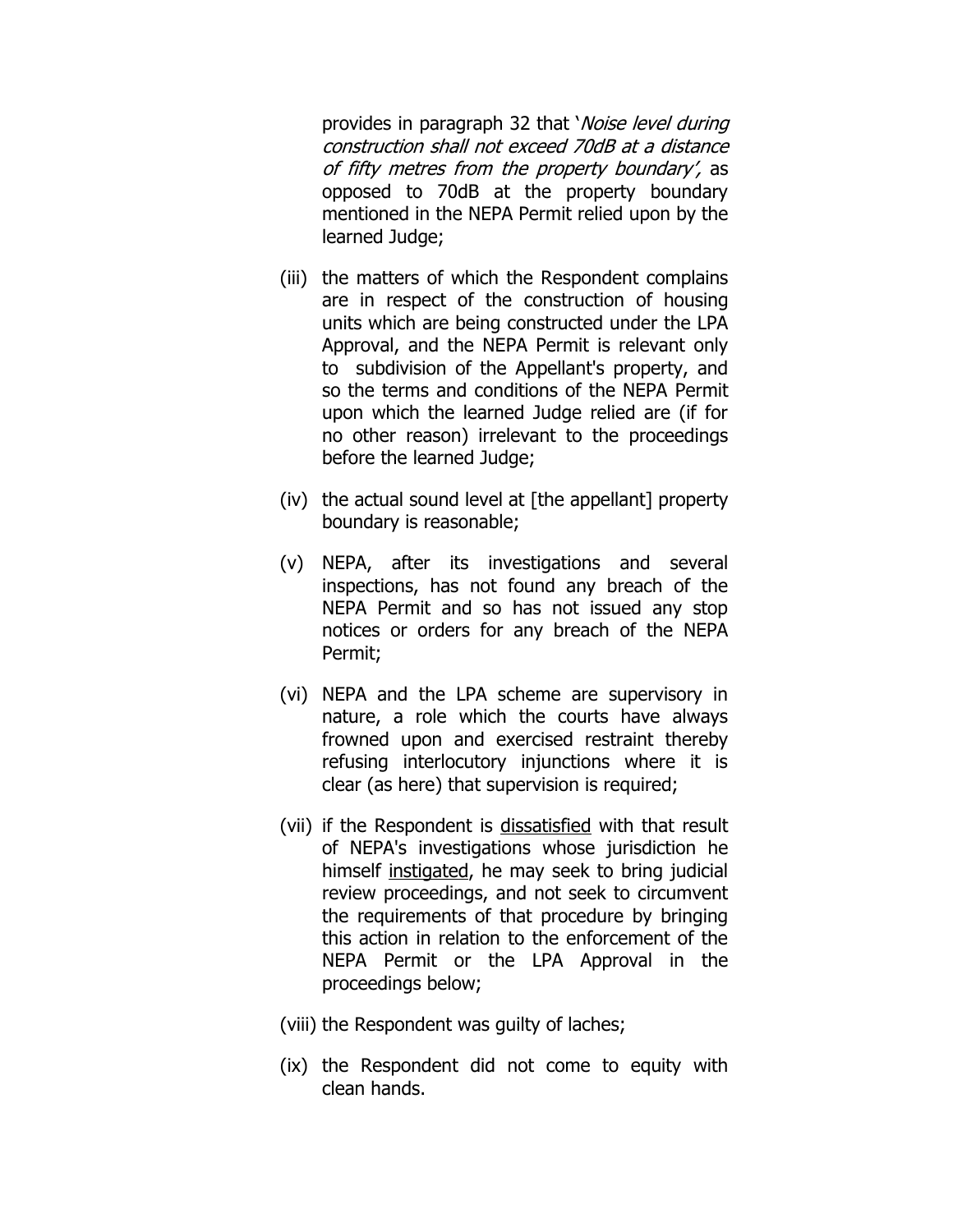provides in paragraph 32 that *Noise level during* construction shall not exceed 70dB at a distance of fifty metres from the property boundary', as opposed to 70dB at the property boundary mentioned in the NEPA Permit relied upon by the learned Judge;

- (iii) the matters of which the Respondent complains are in respect of the construction of housing units which are being constructed under the LPA Approval, and the NEPA Permit is relevant only to subdivision of the Appellant's property, and so the terms and conditions of the NEPA Permit upon which the learned Judge relied are (if for no other reason) irrelevant to the proceedings before the learned Judge;
- (iv) the actual sound level at  $[$ the appellant $]$  property boundary is reasonable;
- (v) NEPA, after its investigations and several inspections, has not found any breach of the NEPA Permit and so has not issued any stop notices or orders for any breach of the NEPA Permit;
- (vi) NEPA and the LPA scheme are supervisory in nature, a role which the courts have always frowned upon and exercised restraint thereby refusing interlocutory injunctions where it is clear (as here) that supervision is required;
- (vii) if the Respondent is dissatisfied with that result of NEPA's investigations whose jurisdiction he himself instigated, he may seek to bring judicial review proceedings, and not seek to circumvent the requirements of that procedure by bringing this action in relation to the enforcement of the NEPA Permit or the LPA Approval in the proceedings below;
- (viii) the Respondent was guilty of laches;
- (ix) the Respondent did not come to equity with clean hands.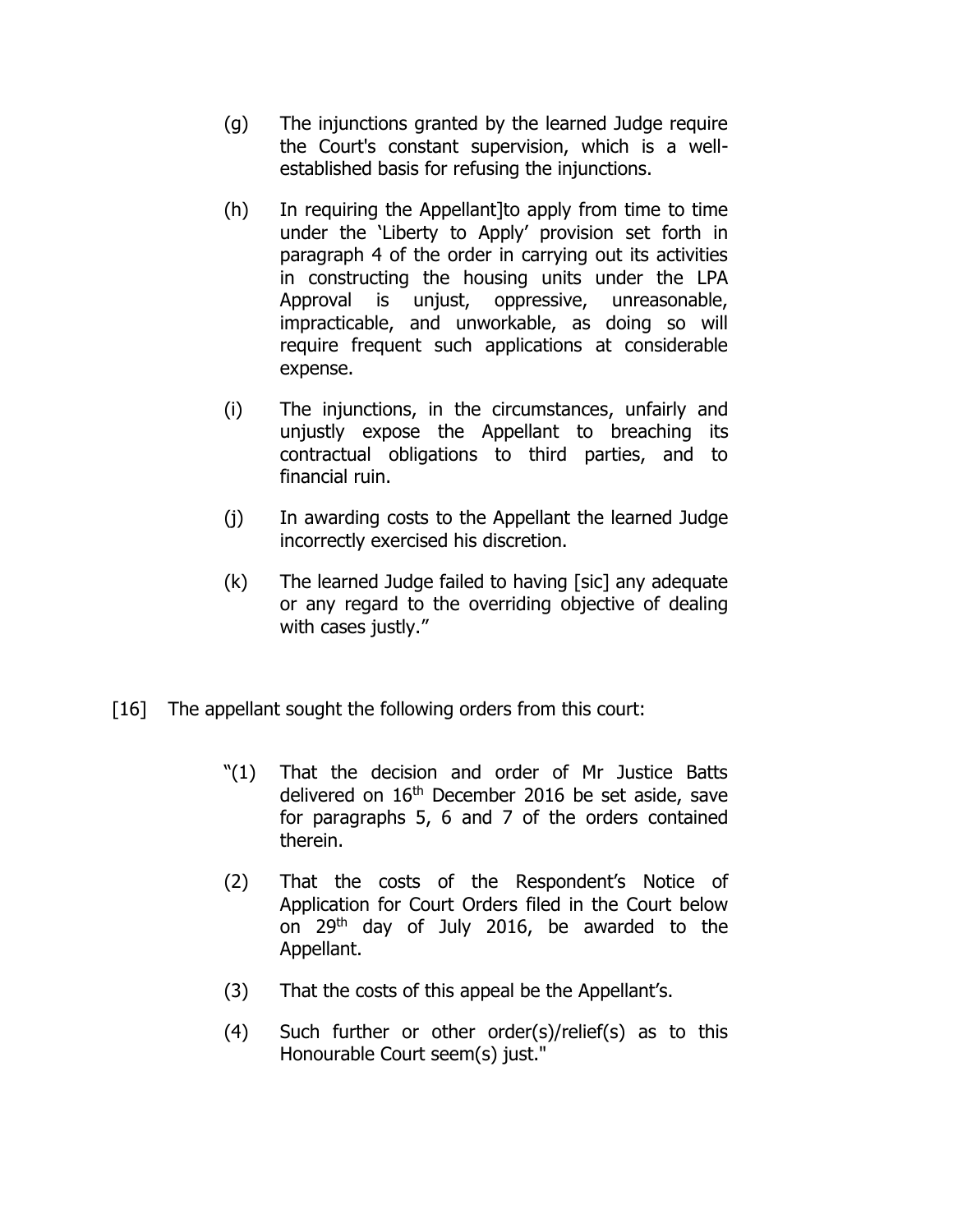- (g) The injunctions granted by the learned Judge require the Court's constant supervision, which is a wellestablished basis for refusing the injunctions.
- (h) In requiring the Appellant]to apply from time to time under the 'Liberty to Apply' provision set forth in paragraph 4 of the order in carrying out its activities in constructing the housing units under the LPA Approval is unjust, oppressive, unreasonable, impracticable, and unworkable, as doing so will require frequent such applications at considerable expense.
- (i) The injunctions, in the circumstances, unfairly and unjustly expose the Appellant to breaching its contractual obligations to third parties, and to financial ruin.
- (j) In awarding costs to the Appellant the learned Judge incorrectly exercised his discretion.
- (k) The learned Judge failed to having [sic] any adequate or any regard to the overriding objective of dealing with cases justly."
- [16] The appellant sought the following orders from this court:
	- "(1) That the decision and order of Mr Justice Batts delivered on  $16<sup>th</sup>$  December 2016 be set aside, save for paragraphs 5, 6 and 7 of the orders contained therein.
	- (2) That the costs of the Respondent's Notice of Application for Court Orders filed in the Court below on 29<sup>th</sup> day of July 2016, be awarded to the Appellant.
	- (3) That the costs of this appeal be the Appellant's.
	- (4) Such further or other order(s)/relief(s) as to this Honourable Court seem(s) just."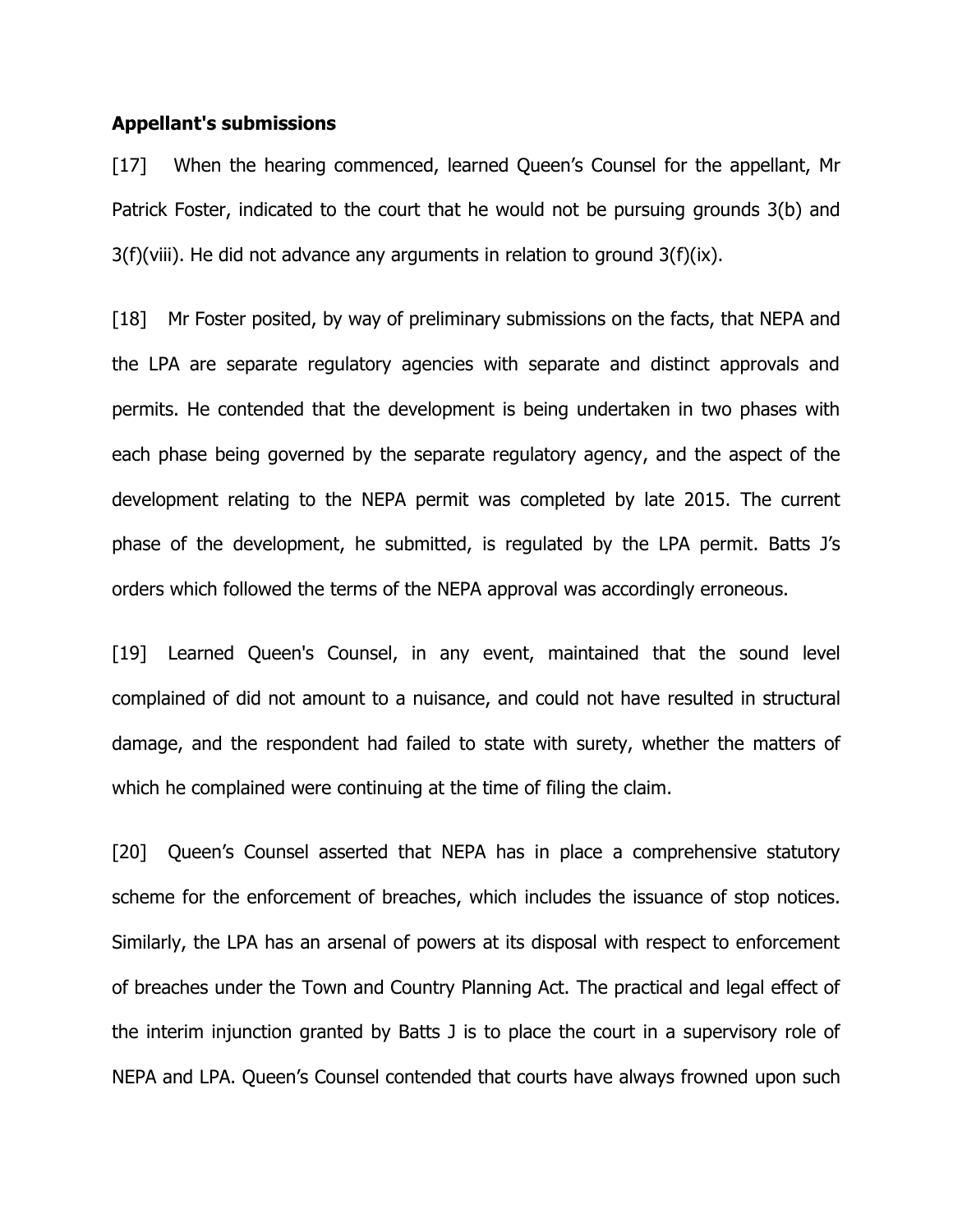#### **Appellant's submissions**

[17] When the hearing commenced, learned Queen's Counsel for the appellant, Mr Patrick Foster, indicated to the court that he would not be pursuing grounds 3(b) and  $3(f)(viii)$ . He did not advance any arguments in relation to ground  $3(f)(ix)$ .

[18] Mr Foster posited, by way of preliminary submissions on the facts, that NEPA and the LPA are separate regulatory agencies with separate and distinct approvals and permits. He contended that the development is being undertaken in two phases with each phase being governed by the separate regulatory agency, and the aspect of the development relating to the NEPA permit was completed by late 2015. The current phase of the development, he submitted, is regulated by the LPA permit. Batts J's orders which followed the terms of the NEPA approval was accordingly erroneous.

[19] Learned Queen's Counsel, in any event, maintained that the sound level complained of did not amount to a nuisance, and could not have resulted in structural damage, and the respondent had failed to state with surety, whether the matters of which he complained were continuing at the time of filing the claim.

[20] Queen's Counsel asserted that NEPA has in place a comprehensive statutory scheme for the enforcement of breaches, which includes the issuance of stop notices. Similarly, the LPA has an arsenal of powers at its disposal with respect to enforcement of breaches under the Town and Country Planning Act. The practical and legal effect of the interim injunction granted by Batts J is to place the court in a supervisory role of NEPA and LPA. Queen's Counsel contended that courts have always frowned upon such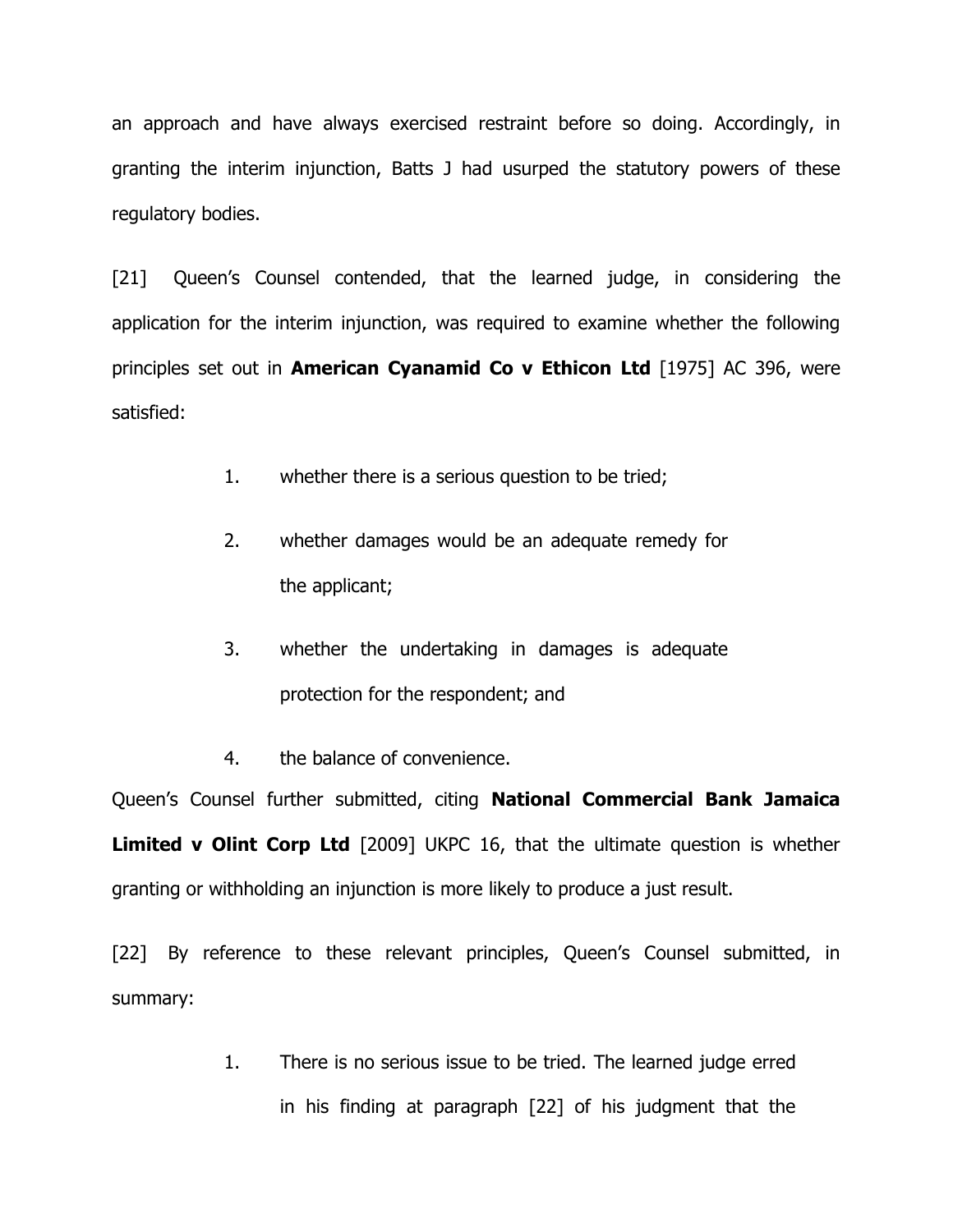an approach and have always exercised restraint before so doing. Accordingly, in granting the interim injunction, Batts J had usurped the statutory powers of these regulatory bodies.

[21] Queen's Counsel contended, that the learned judge, in considering the application for the interim injunction, was required to examine whether the following principles set out in **American Cyanamid Co v Ethicon Ltd** [1975] AC 396, were satisfied:

- 1. whether there is a serious question to be tried;
- 2. whether damages would be an adequate remedy for the applicant;
- 3. whether the undertaking in damages is adequate protection for the respondent; and
- 4. the balance of convenience.

Queen's Counsel further submitted, citing **National Commercial Bank Jamaica Limited v Olint Corp Ltd** [2009] UKPC 16, that the ultimate question is whether granting or withholding an injunction is more likely to produce a just result.

[22] By reference to these relevant principles, Queen's Counsel submitted, in summary:

> 1. There is no serious issue to be tried. The learned judge erred in his finding at paragraph [22] of his judgment that the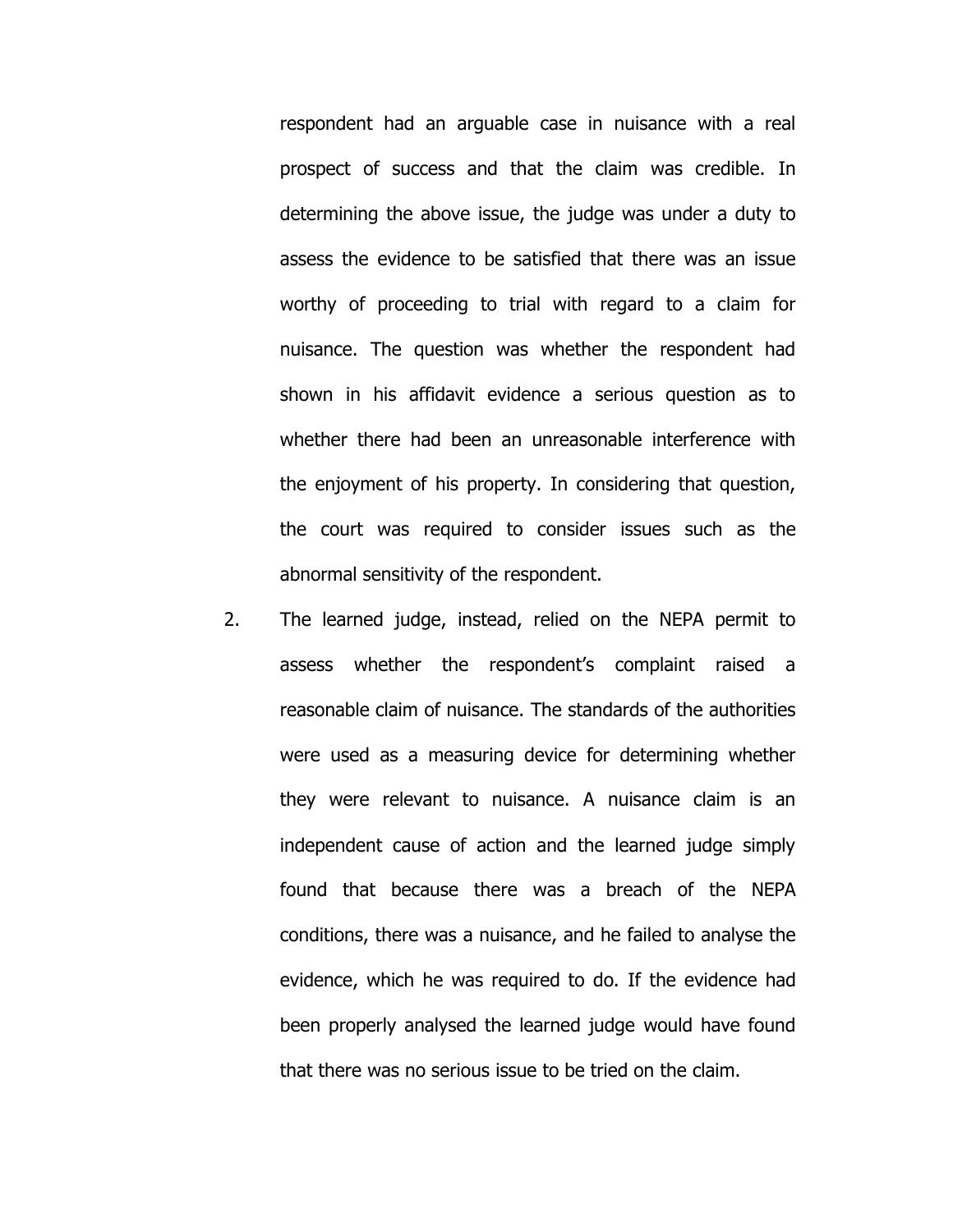respondent had an arguable case in nuisance with a real prospect of success and that the claim was credible. In determining the above issue, the judge was under a duty to assess the evidence to be satisfied that there was an issue worthy of proceeding to trial with regard to a claim for nuisance. The question was whether the respondent had shown in his affidavit evidence a serious question as to whether there had been an unreasonable interference with the enjoyment of his property. In considering that question, the court was required to consider issues such as the abnormal sensitivity of the respondent.

2. The learned judge, instead, relied on the NEPA permit to assess whether the respondent's complaint raised a reasonable claim of nuisance. The standards of the authorities were used as a measuring device for determining whether they were relevant to nuisance. A nuisance claim is an independent cause of action and the learned judge simply found that because there was a breach of the NEPA conditions, there was a nuisance, and he failed to analyse the evidence, which he was required to do. If the evidence had been properly analysed the learned judge would have found that there was no serious issue to be tried on the claim.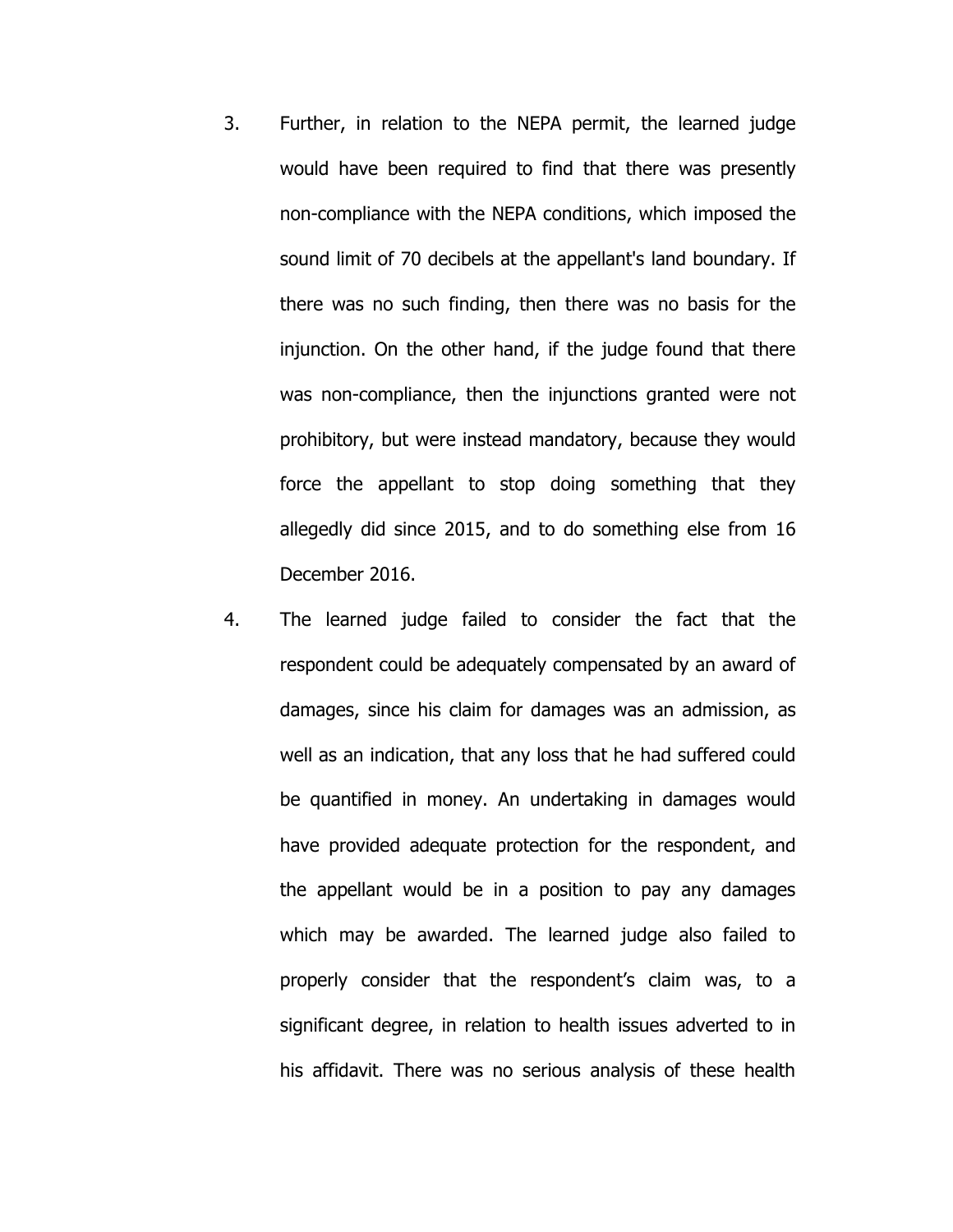- 3. Further, in relation to the NEPA permit, the learned judge would have been required to find that there was presently non-compliance with the NEPA conditions, which imposed the sound limit of 70 decibels at the appellant's land boundary. If there was no such finding, then there was no basis for the injunction. On the other hand, if the judge found that there was non-compliance, then the injunctions granted were not prohibitory, but were instead mandatory, because they would force the appellant to stop doing something that they allegedly did since 2015, and to do something else from 16 December 2016.
- 4. The learned judge failed to consider the fact that the respondent could be adequately compensated by an award of damages, since his claim for damages was an admission, as well as an indication, that any loss that he had suffered could be quantified in money. An undertaking in damages would have provided adequate protection for the respondent, and the appellant would be in a position to pay any damages which may be awarded. The learned judge also failed to properly consider that the respondent's claim was, to a significant degree, in relation to health issues adverted to in his affidavit. There was no serious analysis of these health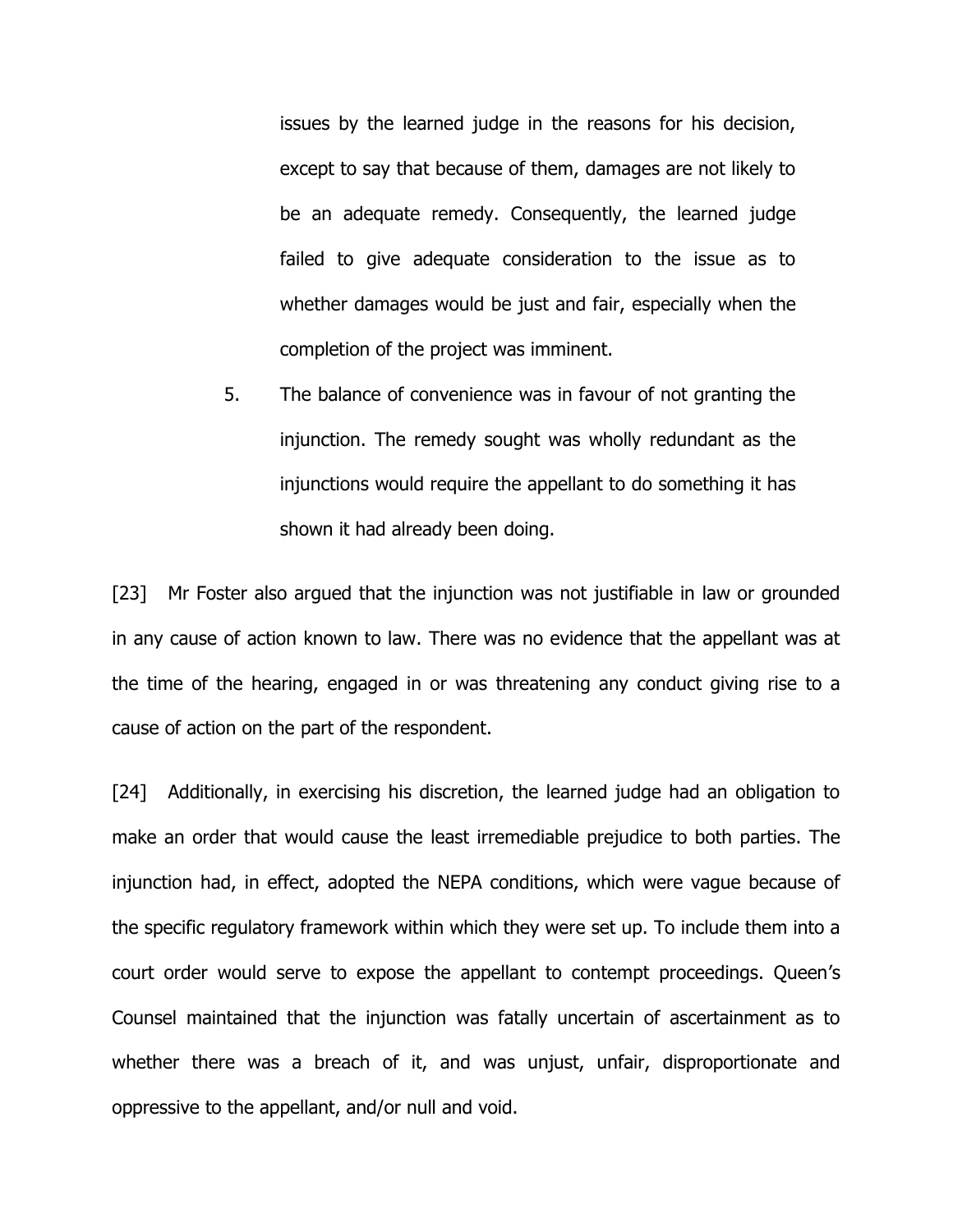issues by the learned judge in the reasons for his decision, except to say that because of them, damages are not likely to be an adequate remedy. Consequently, the learned judge failed to give adequate consideration to the issue as to whether damages would be just and fair, especially when the completion of the project was imminent.

5. The balance of convenience was in favour of not granting the injunction. The remedy sought was wholly redundant as the injunctions would require the appellant to do something it has shown it had already been doing.

[23] Mr Foster also argued that the injunction was not justifiable in law or grounded in any cause of action known to law. There was no evidence that the appellant was at the time of the hearing, engaged in or was threatening any conduct giving rise to a cause of action on the part of the respondent.

[24] Additionally, in exercising his discretion, the learned judge had an obligation to make an order that would cause the least irremediable prejudice to both parties. The injunction had, in effect, adopted the NEPA conditions, which were vague because of the specific regulatory framework within which they were set up. To include them into a court order would serve to expose the appellant to contempt proceedings. Queen's Counsel maintained that the injunction was fatally uncertain of ascertainment as to whether there was a breach of it, and was unjust, unfair, disproportionate and oppressive to the appellant, and/or null and void.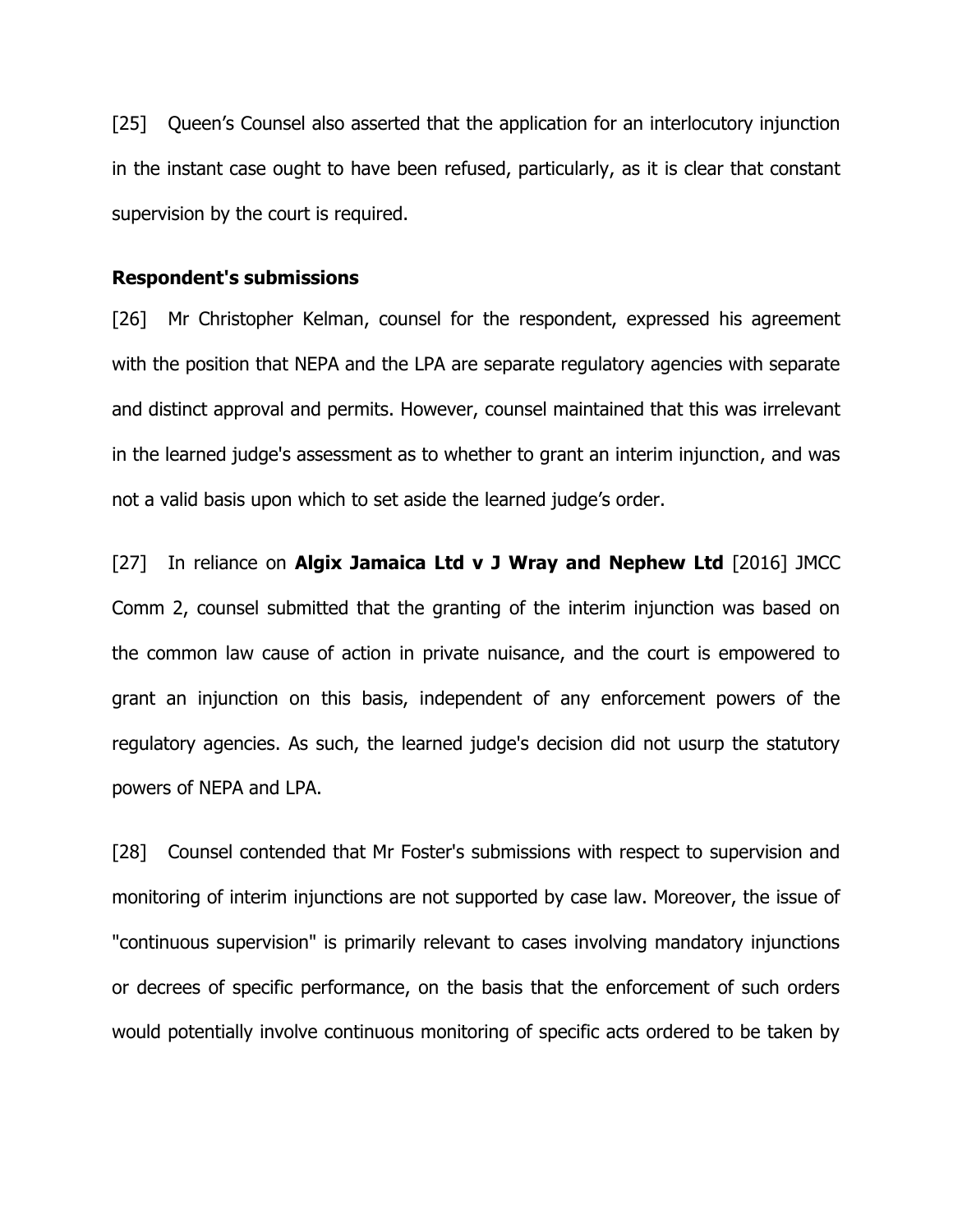[25] Queen's Counsel also asserted that the application for an interlocutory injunction in the instant case ought to have been refused, particularly, as it is clear that constant supervision by the court is required.

#### **Respondent's submissions**

[26] Mr Christopher Kelman, counsel for the respondent, expressed his agreement with the position that NEPA and the LPA are separate regulatory agencies with separate and distinct approval and permits. However, counsel maintained that this was irrelevant in the learned judge's assessment as to whether to grant an interim injunction, and was not a valid basis upon which to set aside the learned judge's order.

[27] In reliance on **Algix Jamaica Ltd v J Wray and Nephew Ltd** [2016] JMCC Comm 2, counsel submitted that the granting of the interim injunction was based on the common law cause of action in private nuisance, and the court is empowered to grant an injunction on this basis, independent of any enforcement powers of the regulatory agencies. As such, the learned judge's decision did not usurp the statutory powers of NEPA and LPA.

[28] Counsel contended that Mr Foster's submissions with respect to supervision and monitoring of interim injunctions are not supported by case law. Moreover, the issue of "continuous supervision" is primarily relevant to cases involving mandatory injunctions or decrees of specific performance, on the basis that the enforcement of such orders would potentially involve continuous monitoring of specific acts ordered to be taken by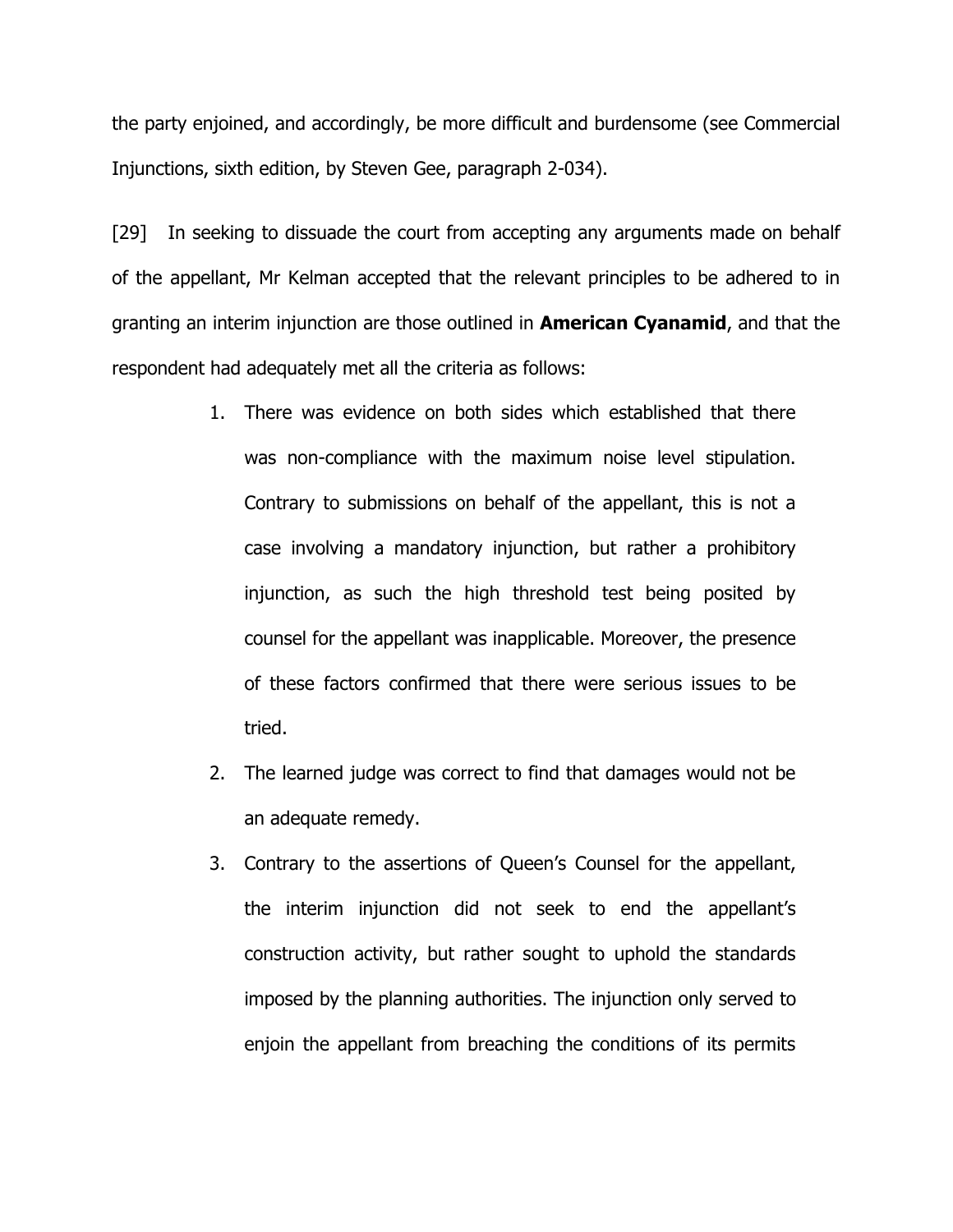the party enjoined, and accordingly, be more difficult and burdensome (see Commercial Injunctions, sixth edition, by Steven Gee, paragraph 2-034).

[29] In seeking to dissuade the court from accepting any arguments made on behalf of the appellant, Mr Kelman accepted that the relevant principles to be adhered to in granting an interim injunction are those outlined in **American Cyanamid**, and that the respondent had adequately met all the criteria as follows:

- 1. There was evidence on both sides which established that there was non-compliance with the maximum noise level stipulation. Contrary to submissions on behalf of the appellant, this is not a case involving a mandatory injunction, but rather a prohibitory injunction, as such the high threshold test being posited by counsel for the appellant was inapplicable. Moreover, the presence of these factors confirmed that there were serious issues to be tried.
- 2. The learned judge was correct to find that damages would not be an adequate remedy.
- 3. Contrary to the assertions of Queen's Counsel for the appellant, the interim injunction did not seek to end the appellant's construction activity, but rather sought to uphold the standards imposed by the planning authorities. The injunction only served to enjoin the appellant from breaching the conditions of its permits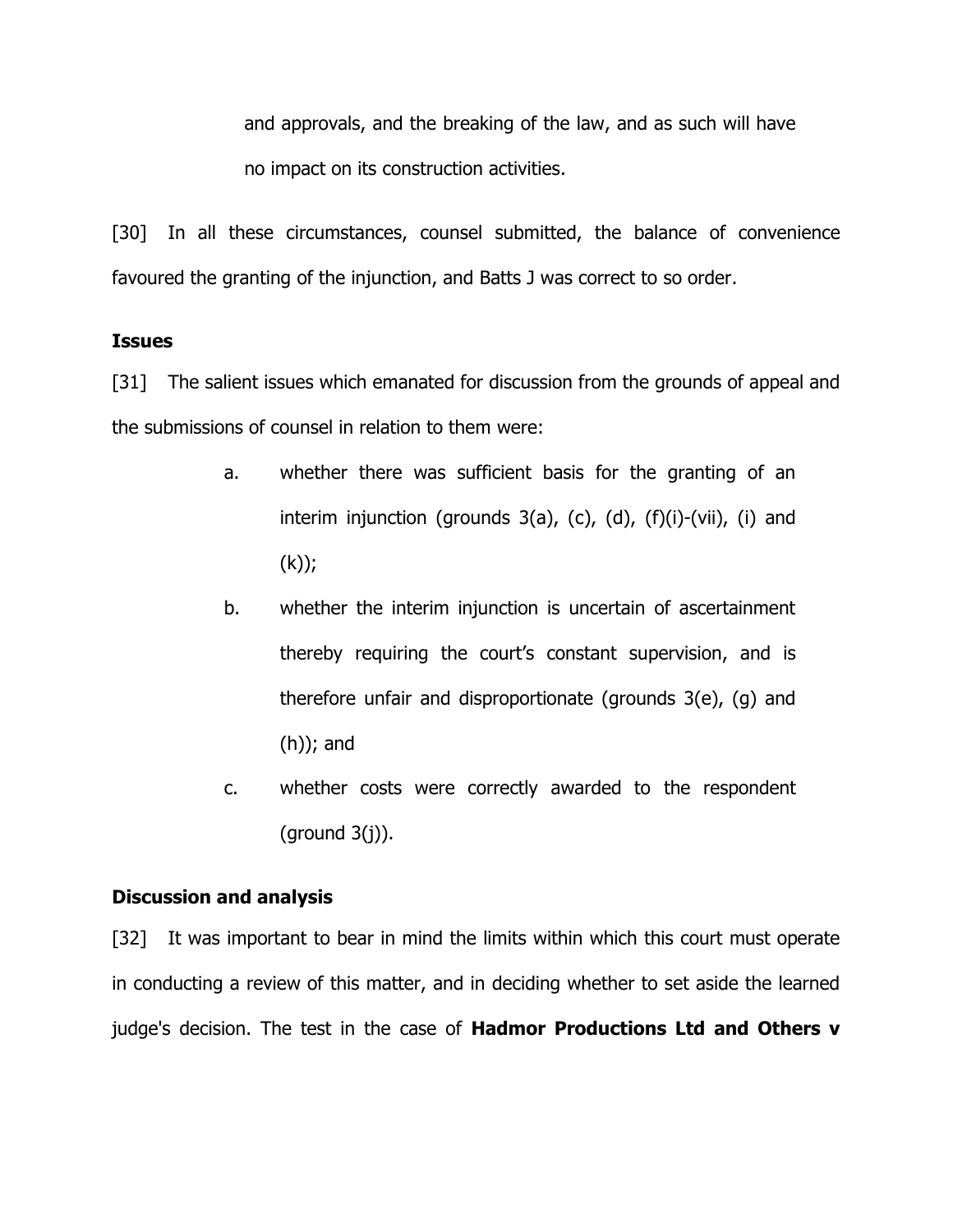and approvals, and the breaking of the law, and as such will have no impact on its construction activities.

[30] In all these circumstances, counsel submitted, the balance of convenience favoured the granting of the injunction, and Batts J was correct to so order.

## **Issues**

[31] The salient issues which emanated for discussion from the grounds of appeal and the submissions of counsel in relation to them were:

- a. whether there was sufficient basis for the granting of an interim injunction (grounds  $3(a)$ , (c), (d), (f)(i)-(vii), (i) and (k));
- b. whether the interim injunction is uncertain of ascertainment thereby requiring the court's constant supervision, and is therefore unfair and disproportionate (grounds 3(e), (g) and (h)); and
- c. whether costs were correctly awarded to the respondent (ground 3(j)).

## **Discussion and analysis**

[32] It was important to bear in mind the limits within which this court must operate in conducting a review of this matter, and in deciding whether to set aside the learned judge's decision. The test in the case of **Hadmor Productions Ltd and Others v**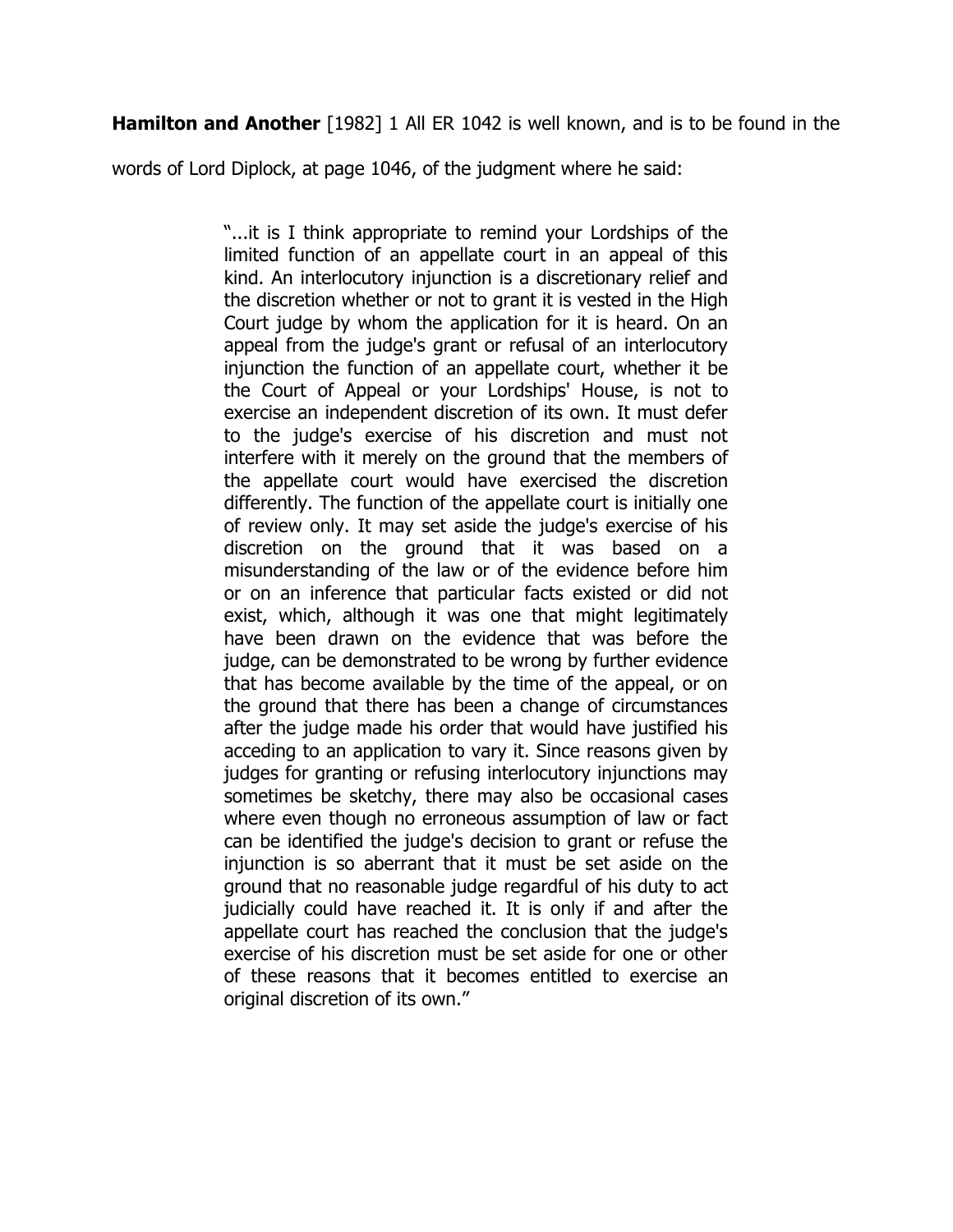**Hamilton and Another** [1982] 1 All ER 1042 is well known, and is to be found in the

words of Lord Diplock, at page 1046, of the judgment where he said:

"...it is I think appropriate to remind your Lordships of the limited function of an appellate court in an appeal of this kind. An interlocutory injunction is a discretionary relief and the discretion whether or not to grant it is vested in the High Court judge by whom the application for it is heard. On an appeal from the judge's grant or refusal of an interlocutory injunction the function of an appellate court, whether it be the Court of Appeal or your Lordships' House, is not to exercise an independent discretion of its own. It must defer to the judge's exercise of his discretion and must not interfere with it merely on the ground that the members of the appellate court would have exercised the discretion differently. The function of the appellate court is initially one of review only. It may set aside the judge's exercise of his discretion on the ground that it was based on a misunderstanding of the law or of the evidence before him or on an inference that particular facts existed or did not exist, which, although it was one that might legitimately have been drawn on the evidence that was before the judge, can be demonstrated to be wrong by further evidence that has become available by the time of the appeal, or on the ground that there has been a change of circumstances after the judge made his order that would have justified his acceding to an application to vary it. Since reasons given by judges for granting or refusing interlocutory injunctions may sometimes be sketchy, there may also be occasional cases where even though no erroneous assumption of law or fact can be identified the judge's decision to grant or refuse the injunction is so aberrant that it must be set aside on the ground that no reasonable judge regardful of his duty to act judicially could have reached it. It is only if and after the appellate court has reached the conclusion that the judge's exercise of his discretion must be set aside for one or other of these reasons that it becomes entitled to exercise an original discretion of its own."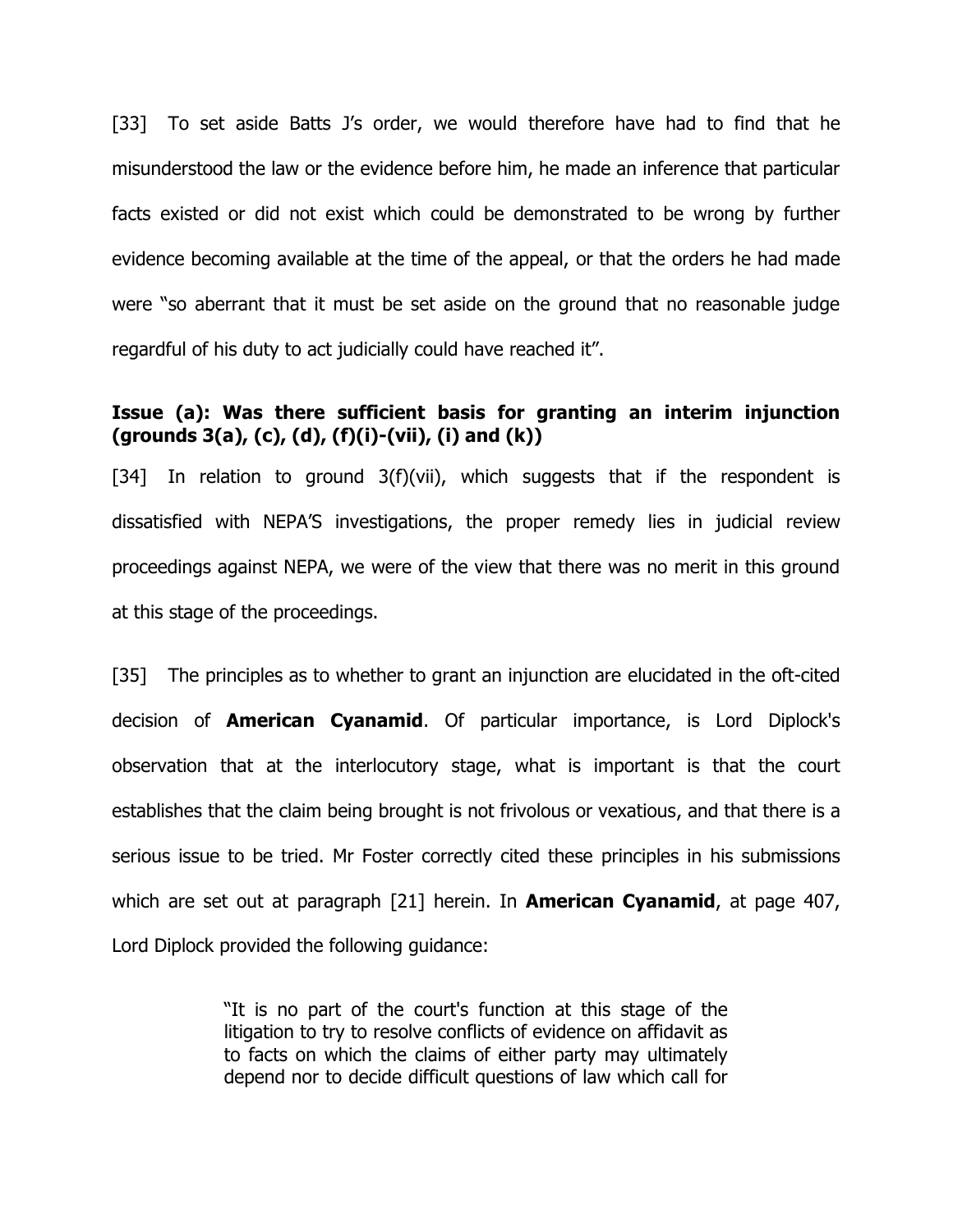[33] To set aside Batts J's order, we would therefore have had to find that he misunderstood the law or the evidence before him, he made an inference that particular facts existed or did not exist which could be demonstrated to be wrong by further evidence becoming available at the time of the appeal, or that the orders he had made were "so aberrant that it must be set aside on the ground that no reasonable judge regardful of his duty to act judicially could have reached it".

## **Issue (a): Was there sufficient basis for granting an interim injunction (grounds 3(a), (c), (d), (f)(i)-(vii), (i) and (k))**

[34] In relation to ground  $3(f)(vii)$ , which suggests that if the respondent is dissatisfied with NEPA'S investigations, the proper remedy lies in judicial review proceedings against NEPA, we were of the view that there was no merit in this ground at this stage of the proceedings.

[35] The principles as to whether to grant an injunction are elucidated in the oft-cited decision of **American Cyanamid**. Of particular importance, is Lord Diplock's observation that at the interlocutory stage, what is important is that the court establishes that the claim being brought is not frivolous or vexatious, and that there is a serious issue to be tried. Mr Foster correctly cited these principles in his submissions which are set out at paragraph [21] herein. In **American Cyanamid**, at page 407, Lord Diplock provided the following guidance:

> "It is no part of the court's function at this stage of the litigation to try to resolve conflicts of evidence on affidavit as to facts on which the claims of either party may ultimately depend nor to decide difficult questions of law which call for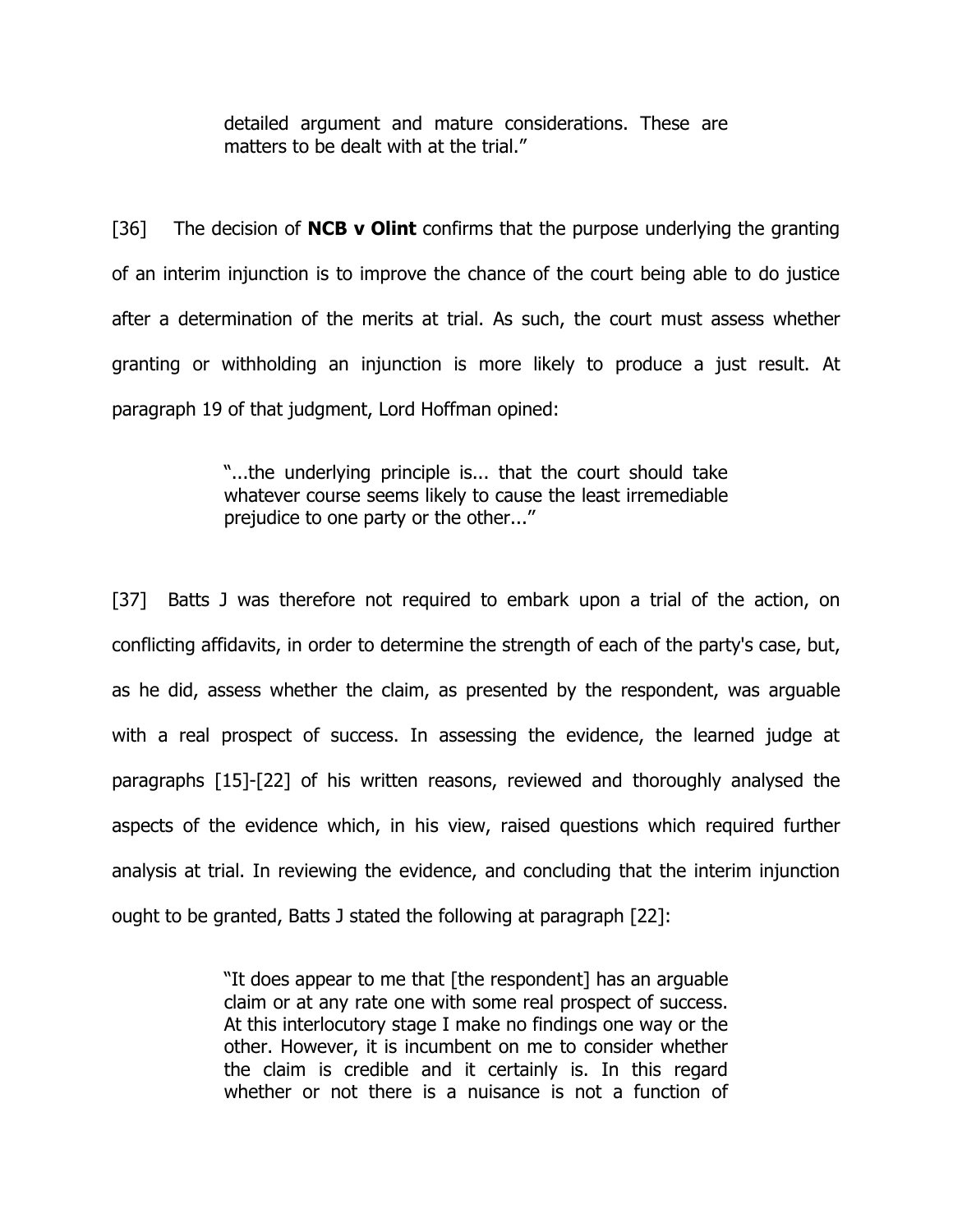detailed argument and mature considerations. These are matters to be dealt with at the trial."

[36] The decision of **NCB v Olint** confirms that the purpose underlying the granting of an interim injunction is to improve the chance of the court being able to do justice after a determination of the merits at trial. As such, the court must assess whether granting or withholding an injunction is more likely to produce a just result. At paragraph 19 of that judgment, Lord Hoffman opined:

> "...the underlying principle is... that the court should take whatever course seems likely to cause the least irremediable prejudice to one party or the other...''

[37] Batts J was therefore not required to embark upon a trial of the action, on conflicting affidavits, in order to determine the strength of each of the party's case, but, as he did, assess whether the claim, as presented by the respondent, was arguable with a real prospect of success. In assessing the evidence, the learned judge at paragraphs [15]-[22] of his written reasons, reviewed and thoroughly analysed the aspects of the evidence which, in his view, raised questions which required further analysis at trial. In reviewing the evidence, and concluding that the interim injunction ought to be granted, Batts J stated the following at paragraph [22]:

> "It does appear to me that [the respondent] has an arguable claim or at any rate one with some real prospect of success. At this interlocutory stage I make no findings one way or the other. However, it is incumbent on me to consider whether the claim is credible and it certainly is. In this regard whether or not there is a nuisance is not a function of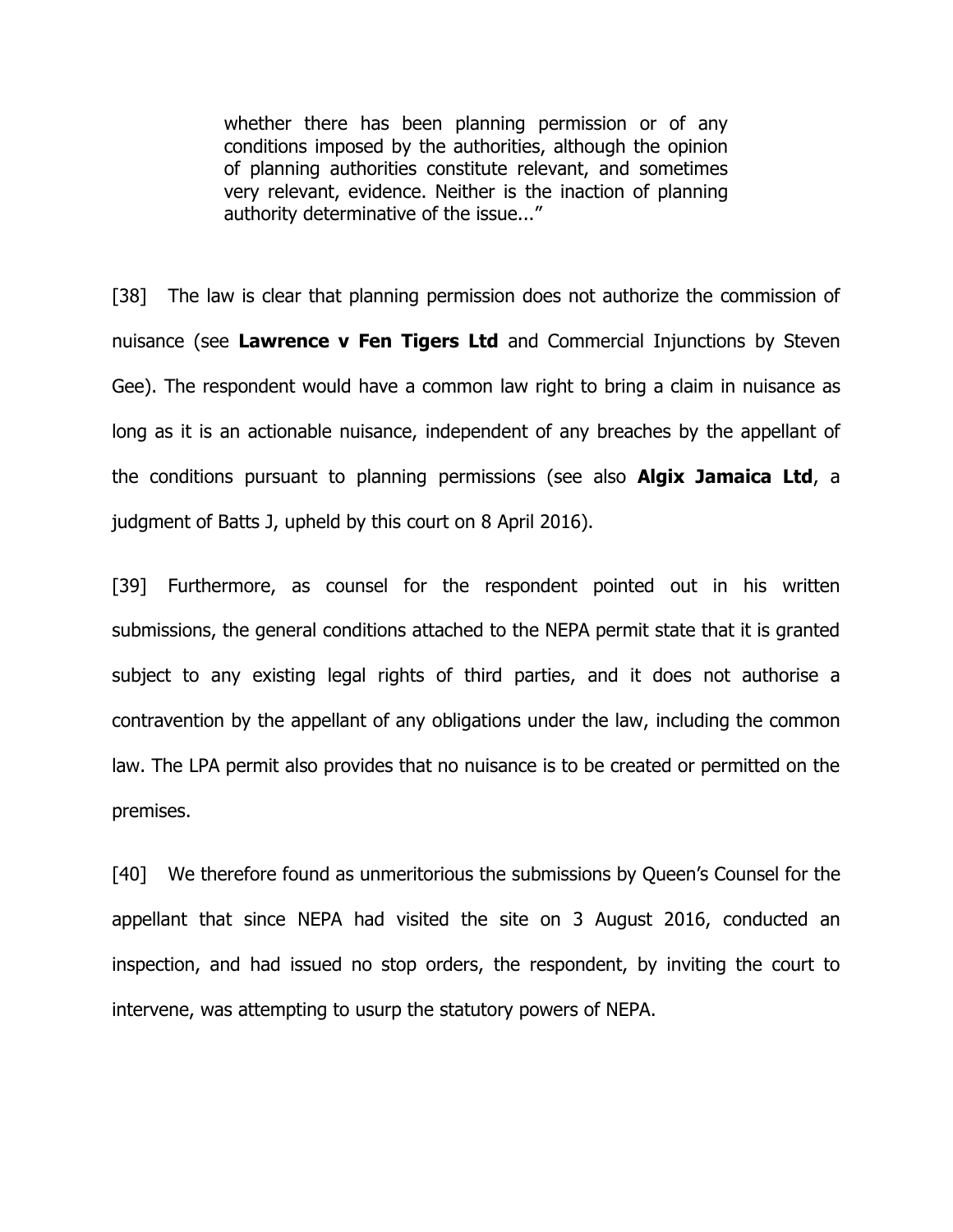whether there has been planning permission or of any conditions imposed by the authorities, although the opinion of planning authorities constitute relevant, and sometimes very relevant, evidence. Neither is the inaction of planning authority determinative of the issue..."

[38] The law is clear that planning permission does not authorize the commission of nuisance (see **Lawrence v Fen Tigers Ltd** and Commercial Injunctions by Steven Gee). The respondent would have a common law right to bring a claim in nuisance as long as it is an actionable nuisance, independent of any breaches by the appellant of the conditions pursuant to planning permissions (see also **Algix Jamaica Ltd**, a judgment of Batts J, upheld by this court on 8 April 2016).

[39] Furthermore, as counsel for the respondent pointed out in his written submissions, the general conditions attached to the NEPA permit state that it is granted subject to any existing legal rights of third parties, and it does not authorise a contravention by the appellant of any obligations under the law, including the common law. The LPA permit also provides that no nuisance is to be created or permitted on the premises.

[40] We therefore found as unmeritorious the submissions by Queen's Counsel for the appellant that since NEPA had visited the site on 3 August 2016, conducted an inspection, and had issued no stop orders, the respondent, by inviting the court to intervene, was attempting to usurp the statutory powers of NEPA.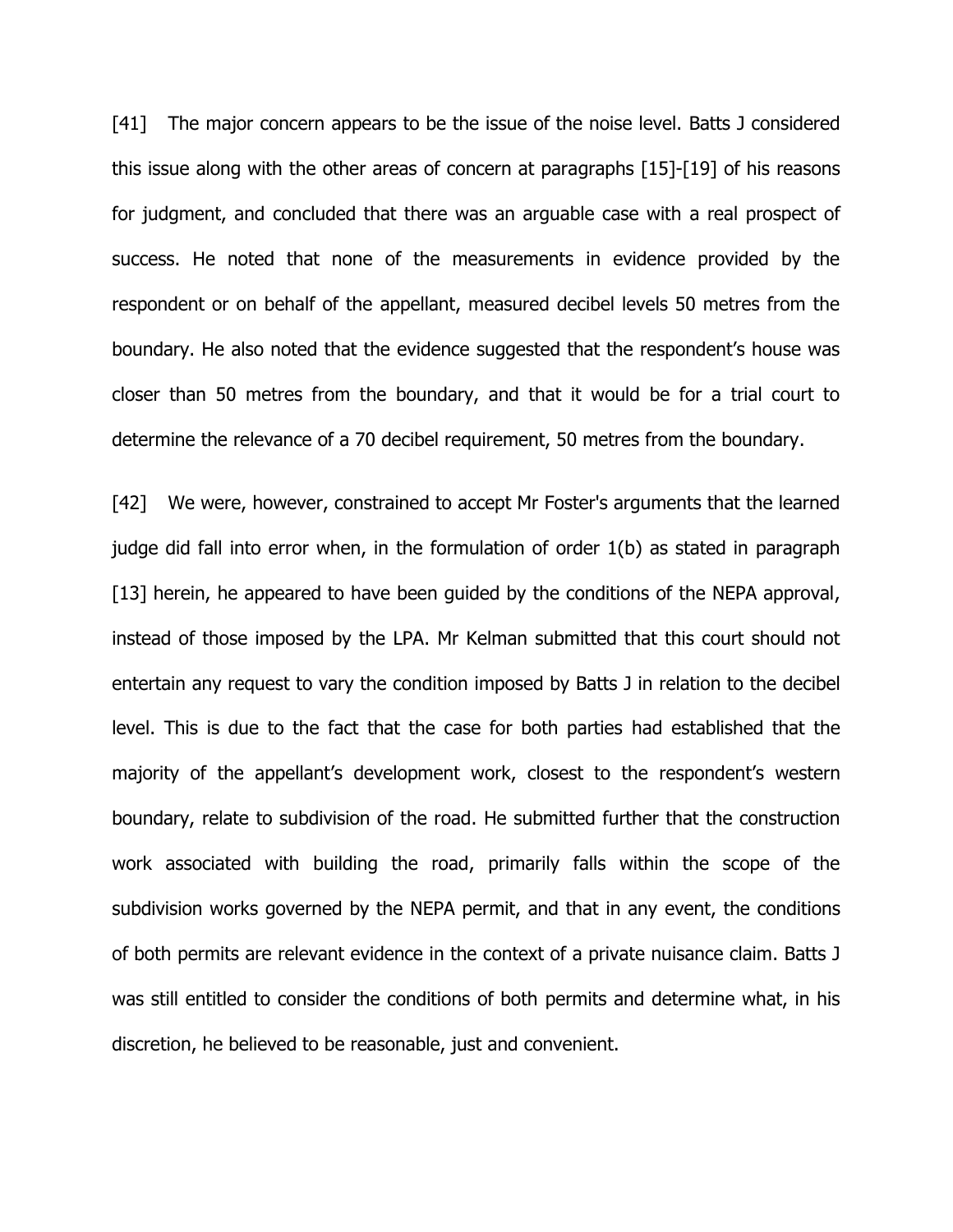[41] The major concern appears to be the issue of the noise level. Batts J considered this issue along with the other areas of concern at paragraphs [15]-[19] of his reasons for judgment, and concluded that there was an arguable case with a real prospect of success. He noted that none of the measurements in evidence provided by the respondent or on behalf of the appellant, measured decibel levels 50 metres from the boundary. He also noted that the evidence suggested that the respondent's house was closer than 50 metres from the boundary, and that it would be for a trial court to determine the relevance of a 70 decibel requirement, 50 metres from the boundary.

[42] We were, however, constrained to accept Mr Foster's arguments that the learned judge did fall into error when, in the formulation of order 1(b) as stated in paragraph [13] herein, he appeared to have been guided by the conditions of the NEPA approval, instead of those imposed by the LPA. Mr Kelman submitted that this court should not entertain any request to vary the condition imposed by Batts J in relation to the decibel level. This is due to the fact that the case for both parties had established that the majority of the appellant's development work, closest to the respondent's western boundary, relate to subdivision of the road. He submitted further that the construction work associated with building the road, primarily falls within the scope of the subdivision works governed by the NEPA permit, and that in any event, the conditions of both permits are relevant evidence in the context of a private nuisance claim. Batts J was still entitled to consider the conditions of both permits and determine what, in his discretion, he believed to be reasonable, just and convenient.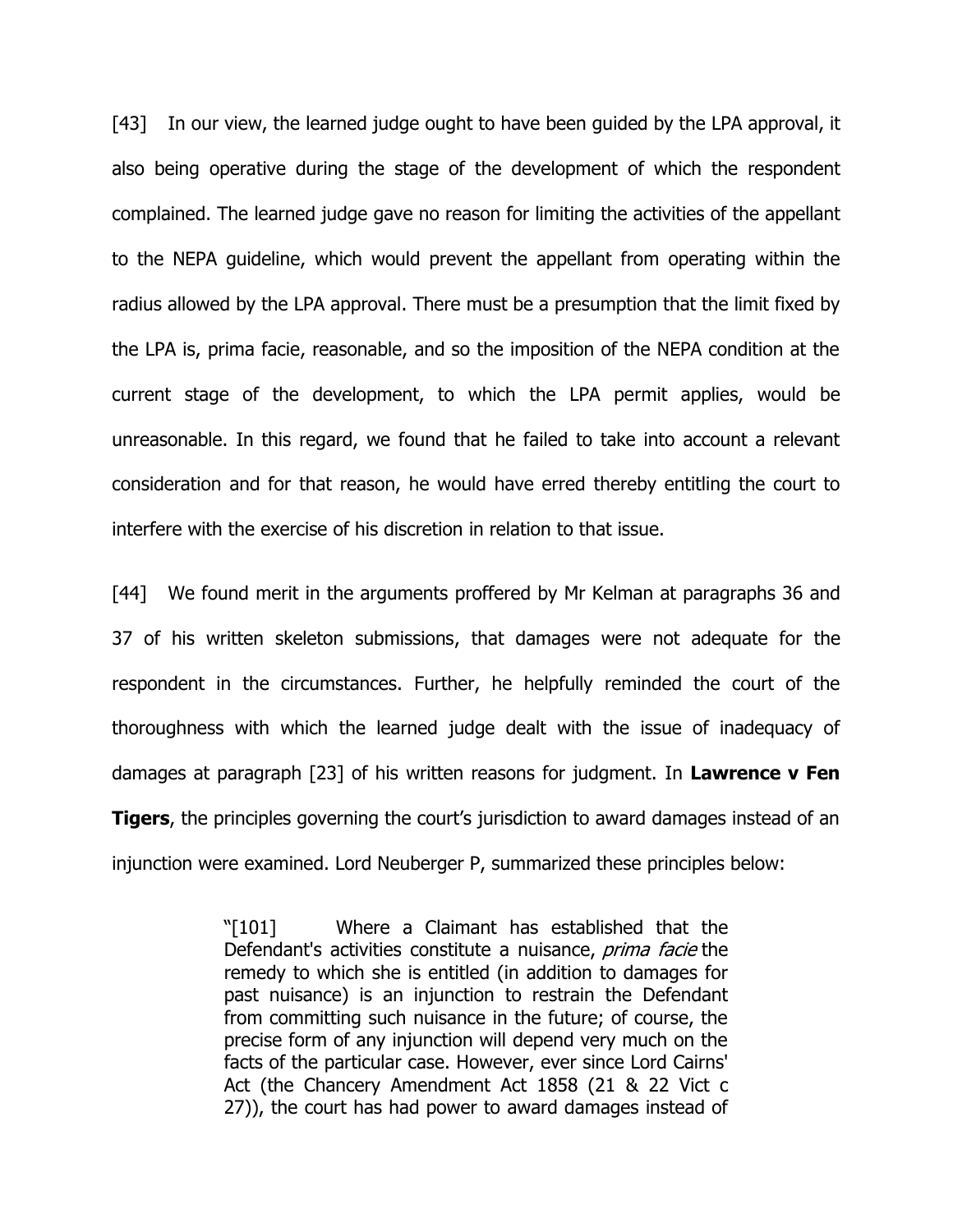[43] In our view, the learned judge ought to have been guided by the LPA approval, it also being operative during the stage of the development of which the respondent complained. The learned judge gave no reason for limiting the activities of the appellant to the NEPA guideline, which would prevent the appellant from operating within the radius allowed by the LPA approval. There must be a presumption that the limit fixed by the LPA is, prima facie, reasonable, and so the imposition of the NEPA condition at the current stage of the development, to which the LPA permit applies, would be unreasonable. In this regard, we found that he failed to take into account a relevant consideration and for that reason, he would have erred thereby entitling the court to interfere with the exercise of his discretion in relation to that issue.

[44] We found merit in the arguments proffered by Mr Kelman at paragraphs 36 and 37 of his written skeleton submissions, that damages were not adequate for the respondent in the circumstances. Further, he helpfully reminded the court of the thoroughness with which the learned judge dealt with the issue of inadequacy of damages at paragraph [23] of his written reasons for judgment. In **Lawrence v Fen Tigers**, the principles governing the court's jurisdiction to award damages instead of an injunction were examined. Lord Neuberger P, summarized these principles below:

> "[101] Where a Claimant has established that the Defendant's activities constitute a nuisance, *prima facie* the remedy to which she is entitled (in addition to damages for past nuisance) is an injunction to restrain the Defendant from committing such nuisance in the future; of course, the precise form of any injunction will depend very much on the facts of the particular case. However, ever since Lord Cairns' Act (the Chancery Amendment Act 1858 (21 & 22 Vict c 27)), the court has had power to award damages instead of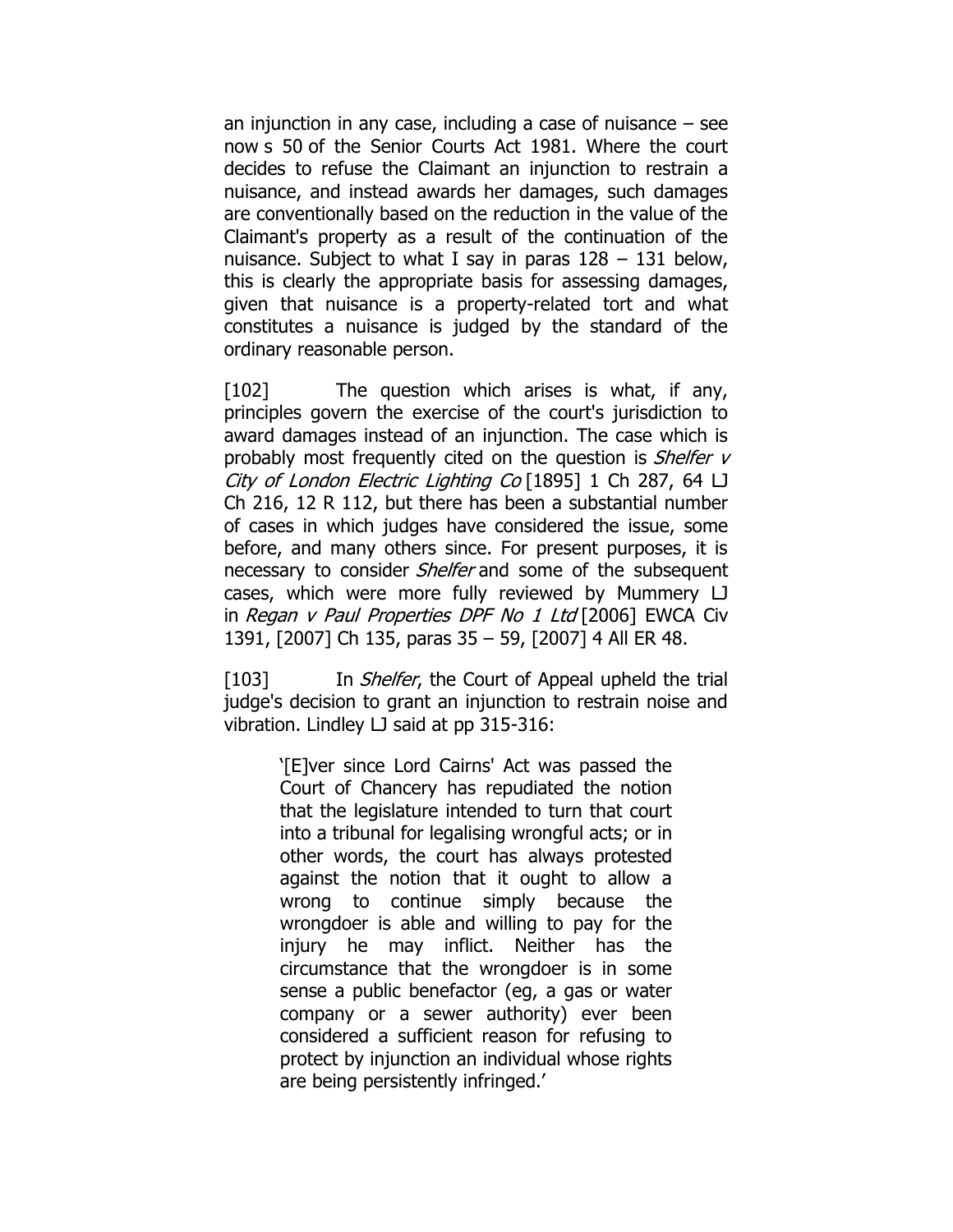an injunction in any case, including a case of nuisance – see now s [50](https://www.lexisnexis.com/uk/legal/search/enhRunRemoteLink.do?linkInfo=F%23GB%23UK_ACTS%23sect%2550%25num%251981_54a%25section%2550%25&A=0.9786486962079278&backKey=20_T28519331516&service=citation&ersKey=23_T28519331505&langcountry=GB) of the Senior Courts Act 1981. Where the court decides to refuse the Claimant an injunction to restrain a nuisance, and instead awards her damages, such damages are conventionally based on the reduction in the value of the Claimant's property as a result of the continuation of the nuisance. Subject to what I say in paras  $128 - 131$  below, this is clearly the appropriate basis for assessing damages, given that nuisance is a property-related tort and what constitutes a nuisance is judged by the standard of the ordinary reasonable person.

[102] The question which arises is what, if any, principles govern the exercise of the court's jurisdiction to award damages instead of an injunction. The case which is probably most frequently cited on the question is *Shelfer v* City of London Electric Lighting Co [\[1895\]](https://www.lexisnexis.com/uk/legal/search/enhRunRemoteLink.do?linkInfo=F%23GB%23CH%23sel1%251895%25vol%251%25year%251895%25page%25287%25sel2%251%25&A=0.5431341681663562&backKey=20_T28519331516&service=citation&ersKey=23_T28519331505&langcountry=GB) 1 Ch 287, 64 LJ Ch 216, 12 R 112, but there has been a substantial number of cases in which judges have considered the issue, some before, and many others since. For present purposes, it is necessary to consider *Shelfer* and some of the subsequent cases, which were more fully reviewed by Mummery LJ in Regan <sup>v</sup> Paul Properties DPF No 1 Ltd [\[2006\]](https://www.lexisnexis.com/uk/legal/search/enhRunRemoteLink.do?linkInfo=F%23GB%23EWCACIV%23sel1%252006%25year%252006%25page%251391%25&A=0.23145803470833126&backKey=20_T28519331516&service=citation&ersKey=23_T28519331505&langcountry=GB) EWCA Civ [1391,](https://www.lexisnexis.com/uk/legal/search/enhRunRemoteLink.do?linkInfo=F%23GB%23EWCACIV%23sel1%252006%25year%252006%25page%251391%25&A=0.23145803470833126&backKey=20_T28519331516&service=citation&ersKey=23_T28519331505&langcountry=GB) [\[2007\]](https://www.lexisnexis.com/uk/legal/search/enhRunRemoteLink.do?linkInfo=F%23GB%23CH%23sel1%252007%25year%252007%25page%25135%25&A=0.5638420456426765&backKey=20_T28519331516&service=citation&ersKey=23_T28519331505&langcountry=GB) Ch 135, paras 35 – 59, [2007] 4 All ER 48.

[103] In *Shelfer*, the Court of Appeal upheld the trial judge's decision to grant an injunction to restrain noise and vibration. Lindley LJ said at pp 315-316:

> '[E]ver since Lord Cairns' Act was passed the Court of Chancery has repudiated the notion that the legislature intended to turn that court into a tribunal for legalising wrongful acts; or in other words, the court has always protested against the notion that it ought to allow a wrong to continue simply because the wrongdoer is able and willing to pay for the injury he may inflict. Neither has the circumstance that the wrongdoer is in some sense a public benefactor (eg, a gas or water company or a sewer authority) ever been considered a sufficient reason for refusing to protect by injunction an individual whose rights are being persistently infringed.'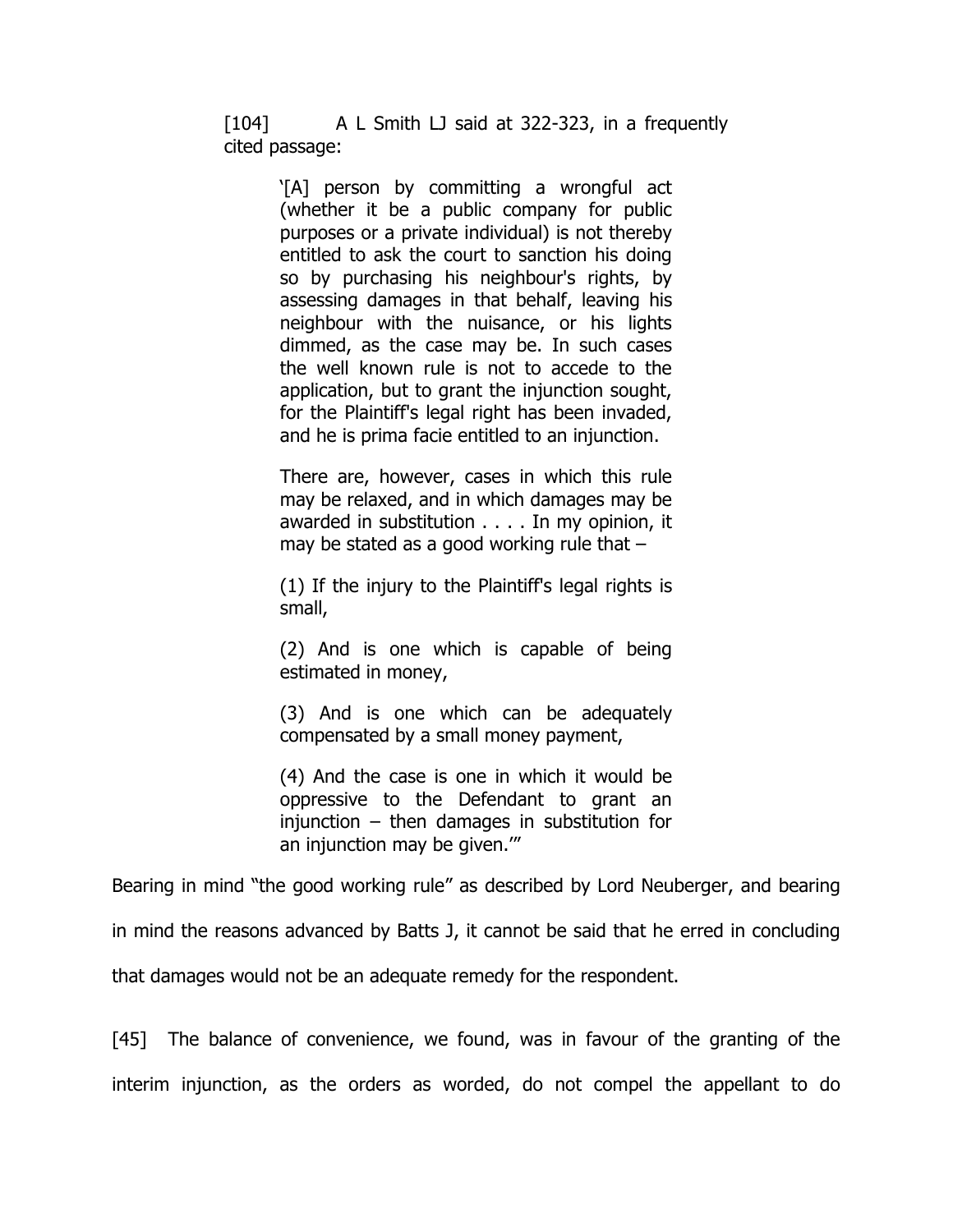[104] A L Smith LJ said at 322-323, in a frequently cited passage:

> '[A] person by committing a wrongful act (whether it be a public company for public purposes or a private individual) is not thereby entitled to ask the court to sanction his doing so by purchasing his neighbour's rights, by assessing damages in that behalf, leaving his neighbour with the nuisance, or his lights dimmed, as the case may be. In such cases the well known rule is not to accede to the application, but to grant the injunction sought, for the Plaintiff's legal right has been invaded, and he is prima facie entitled to an injunction.

> There are, however, cases in which this rule may be relaxed, and in which damages may be awarded in substitution . . . . In my opinion, it may be stated as a good working rule that –

> (1) If the injury to the Plaintiff's legal rights is small,

> (2) And is one which is capable of being estimated in money,

> (3) And is one which can be adequately compensated by a small money payment,

> (4) And the case is one in which it would be oppressive to the Defendant to grant an  $injunction - then damages$  in substitution for an injunction may be given.'"

Bearing in mind "the good working rule" as described by Lord Neuberger, and bearing in mind the reasons advanced by Batts J, it cannot be said that he erred in concluding

that damages would not be an adequate remedy for the respondent.

[45] The balance of convenience, we found, was in favour of the granting of the interim injunction, as the orders as worded, do not compel the appellant to do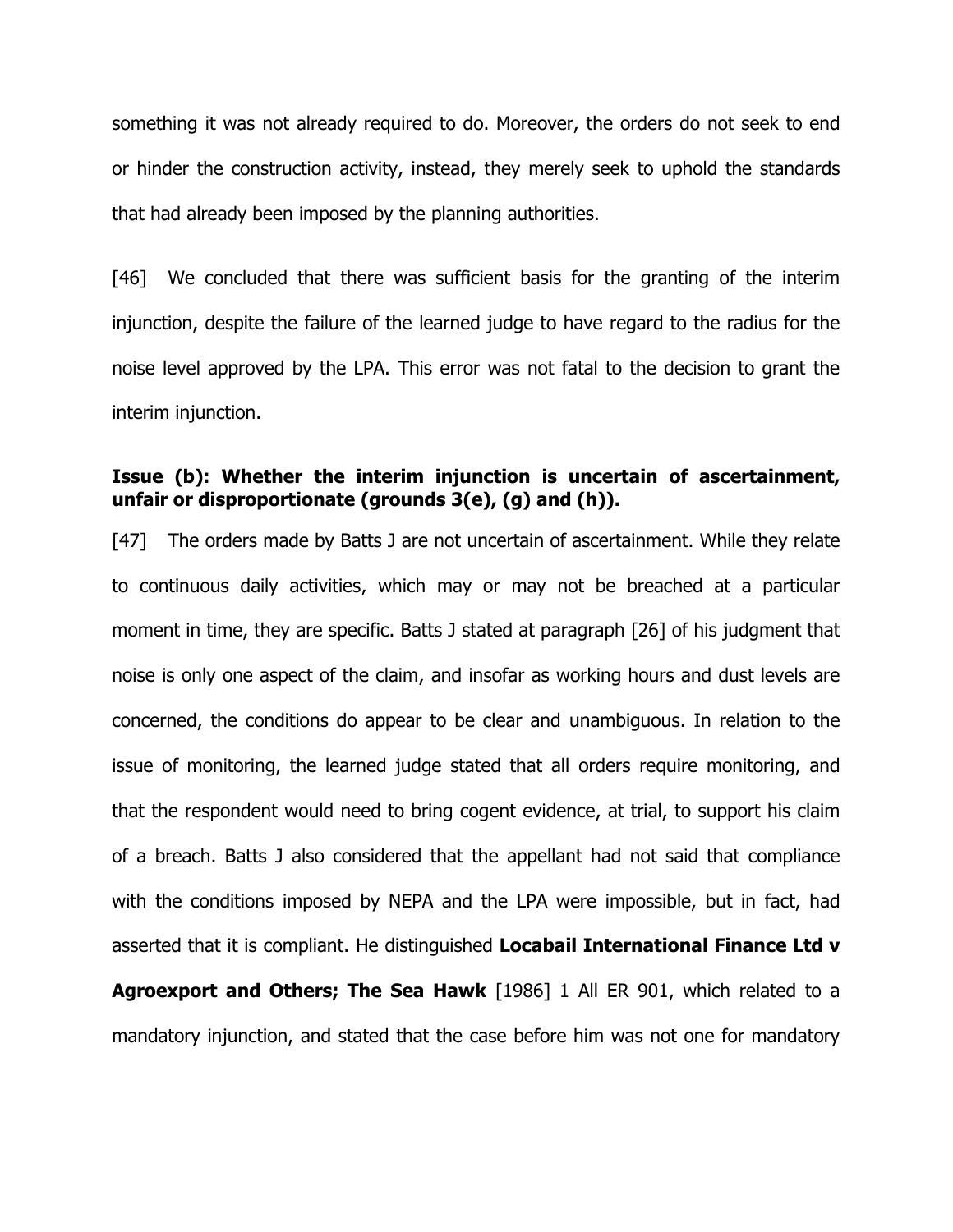something it was not already required to do. Moreover, the orders do not seek to end or hinder the construction activity, instead, they merely seek to uphold the standards that had already been imposed by the planning authorities.

[46] We concluded that there was sufficient basis for the granting of the interim injunction, despite the failure of the learned judge to have regard to the radius for the noise level approved by the LPA. This error was not fatal to the decision to grant the interim injunction.

# **Issue (b): Whether the interim injunction is uncertain of ascertainment, unfair or disproportionate (grounds 3(e), (g) and (h)).**

[47] The orders made by Batts J are not uncertain of ascertainment. While they relate to continuous daily activities, which may or may not be breached at a particular moment in time, they are specific. Batts J stated at paragraph [26] of his judgment that noise is only one aspect of the claim, and insofar as working hours and dust levels are concerned, the conditions do appear to be clear and unambiguous. In relation to the issue of monitoring, the learned judge stated that all orders require monitoring, and that the respondent would need to bring cogent evidence, at trial, to support his claim of a breach. Batts J also considered that the appellant had not said that compliance with the conditions imposed by NEPA and the LPA were impossible, but in fact, had asserted that it is compliant. He distinguished **Locabail International Finance Ltd v Agroexport and Others; The Sea Hawk** [1986] 1 All ER 901, which related to a mandatory injunction, and stated that the case before him was not one for mandatory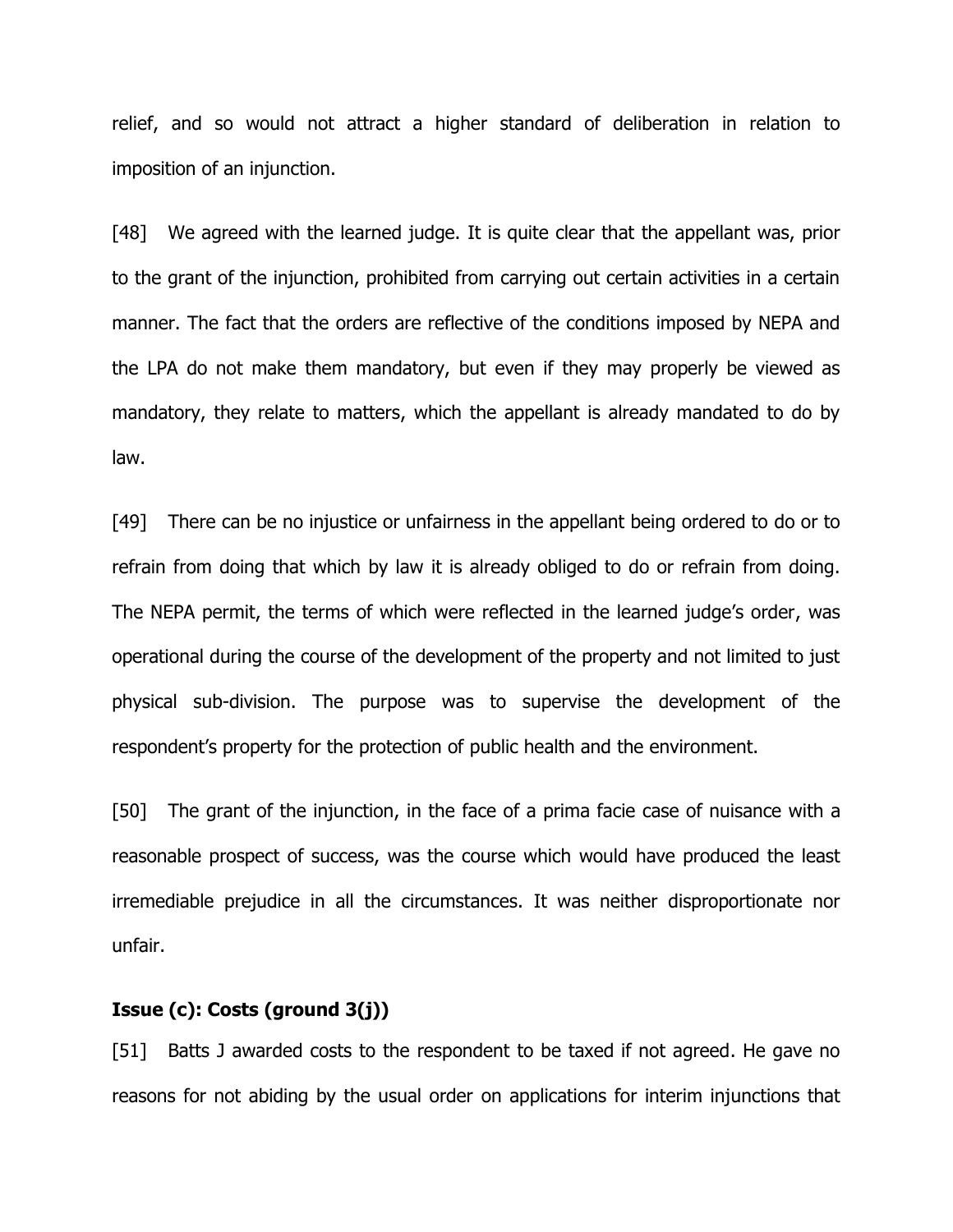relief, and so would not attract a higher standard of deliberation in relation to imposition of an injunction.

[48] We agreed with the learned judge. It is quite clear that the appellant was, prior to the grant of the injunction, prohibited from carrying out certain activities in a certain manner. The fact that the orders are reflective of the conditions imposed by NEPA and the LPA do not make them mandatory, but even if they may properly be viewed as mandatory, they relate to matters, which the appellant is already mandated to do by law.

[49] There can be no injustice or unfairness in the appellant being ordered to do or to refrain from doing that which by law it is already obliged to do or refrain from doing. The NEPA permit, the terms of which were reflected in the learned judge's order, was operational during the course of the development of the property and not limited to just physical sub-division. The purpose was to supervise the development of the respondent's property for the protection of public health and the environment.

[50] The grant of the injunction, in the face of a prima facie case of nuisance with a reasonable prospect of success, was the course which would have produced the least irremediable prejudice in all the circumstances. It was neither disproportionate nor unfair.

### **Issue (c): Costs (ground 3(j))**

[51] Batts J awarded costs to the respondent to be taxed if not agreed. He gave no reasons for not abiding by the usual order on applications for interim injunctions that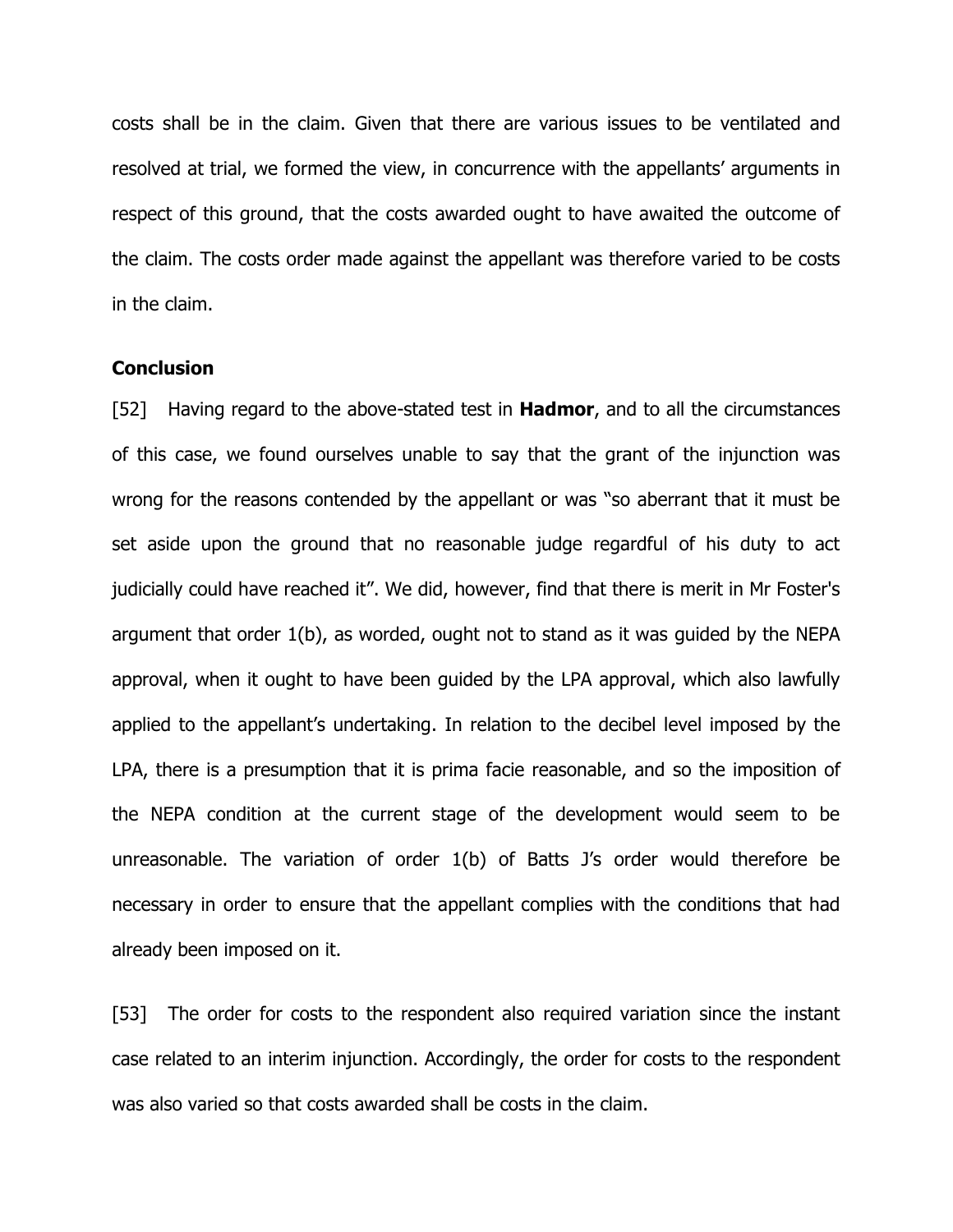costs shall be in the claim. Given that there are various issues to be ventilated and resolved at trial, we formed the view, in concurrence with the appellants' arguments in respect of this ground, that the costs awarded ought to have awaited the outcome of the claim. The costs order made against the appellant was therefore varied to be costs in the claim.

#### **Conclusion**

[52] Having regard to the above-stated test in **Hadmor**, and to all the circumstances of this case, we found ourselves unable to say that the grant of the injunction was wrong for the reasons contended by the appellant or was "so aberrant that it must be set aside upon the ground that no reasonable judge regardful of his duty to act judicially could have reached it". We did, however, find that there is merit in Mr Foster's argument that order 1(b), as worded, ought not to stand as it was guided by the NEPA approval, when it ought to have been guided by the LPA approval, which also lawfully applied to the appellant's undertaking. In relation to the decibel level imposed by the LPA, there is a presumption that it is prima facie reasonable, and so the imposition of the NEPA condition at the current stage of the development would seem to be unreasonable. The variation of order 1(b) of Batts J's order would therefore be necessary in order to ensure that the appellant complies with the conditions that had already been imposed on it.

[53] The order for costs to the respondent also required variation since the instant case related to an interim injunction. Accordingly, the order for costs to the respondent was also varied so that costs awarded shall be costs in the claim.